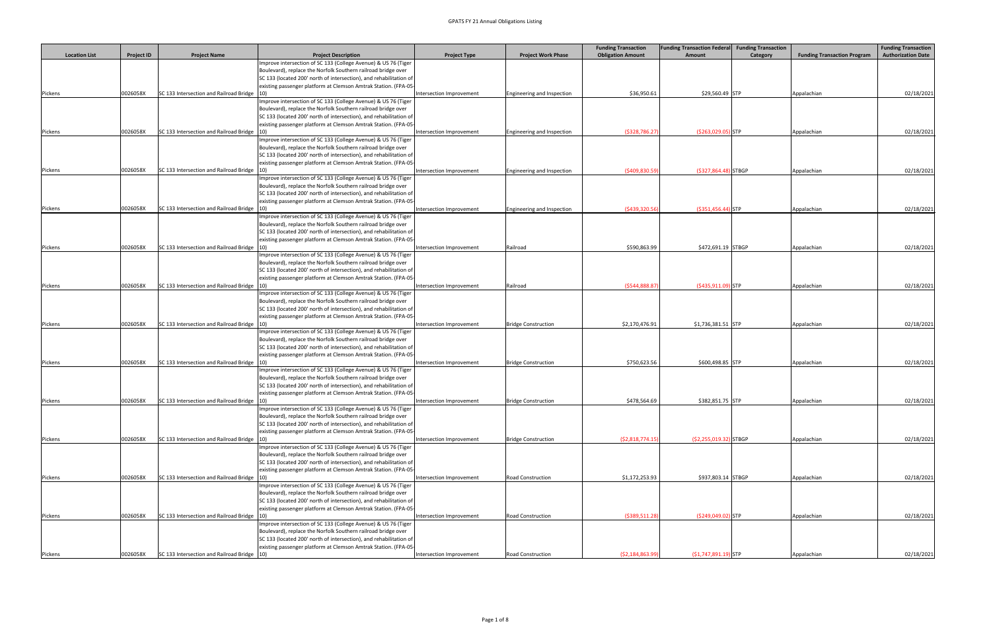|                      |                   |                                                         |                                                                                                                                       |                          |                            | <b>Funding Transaction</b> | <b>Funding Transaction Federal</b> | <b>Funding Transaction</b> |                                    | <b>Funding Transaction</b> |
|----------------------|-------------------|---------------------------------------------------------|---------------------------------------------------------------------------------------------------------------------------------------|--------------------------|----------------------------|----------------------------|------------------------------------|----------------------------|------------------------------------|----------------------------|
| <b>Location List</b> | <b>Project ID</b> | <b>Project Name</b>                                     | <b>Project Description</b>                                                                                                            | <b>Project Type</b>      | <b>Project Work Phase</b>  | <b>Obligation Amount</b>   | Amount                             | Category                   | <b>Funding Transaction Program</b> | <b>Authorization Date</b>  |
|                      |                   |                                                         | Improve intersection of SC 133 (College Avenue) & US 76 (Tiger<br>Boulevard), replace the Norfolk Southern railroad bridge over       |                          |                            |                            |                                    |                            |                                    |                            |
|                      |                   |                                                         | SC 133 (located 200' north of intersection), and rehabilitation of                                                                    |                          |                            |                            |                                    |                            |                                    |                            |
| Pickens              | 0026058X          | SC 133 Intersection and Railroad Bridge                 | existing passenger platform at Clemson Amtrak Station. (FPA-05                                                                        | Intersection Improvement | Engineering and Inspection | \$36,950.61                | \$29,560.49 STP                    |                            | Appalachian                        | 02/18/2021                 |
|                      |                   |                                                         | Improve intersection of SC 133 (College Avenue) & US 76 (Tiger                                                                        |                          |                            |                            |                                    |                            |                                    |                            |
|                      |                   |                                                         | Boulevard), replace the Norfolk Southern railroad bridge over                                                                         |                          |                            |                            |                                    |                            |                                    |                            |
|                      |                   |                                                         | SC 133 (located 200' north of intersection), and rehabilitation of                                                                    |                          |                            |                            |                                    |                            |                                    |                            |
|                      |                   |                                                         | existing passenger platform at Clemson Amtrak Station. (FPA-05                                                                        |                          |                            |                            |                                    |                            |                                    |                            |
| Pickens              | 0026058X          | SC 133 Intersection and Railroad Bridge 10)             | Improve intersection of SC 133 (College Avenue) & US 76 (Tiger                                                                        | Intersection Improvement | Engineering and Inspection | (5328, 786.27)             | $( $263,029.05)$ STP               |                            | Appalachian                        | 02/18/2021                 |
|                      |                   |                                                         | Boulevard), replace the Norfolk Southern railroad bridge over                                                                         |                          |                            |                            |                                    |                            |                                    |                            |
|                      |                   |                                                         | SC 133 (located 200' north of intersection), and rehabilitation of                                                                    |                          |                            |                            |                                    |                            |                                    |                            |
|                      |                   |                                                         | existing passenger platform at Clemson Amtrak Station. (FPA-05                                                                        |                          |                            |                            |                                    |                            |                                    |                            |
| Pickens              | 0026058X          | SC 133 Intersection and Railroad Bridge                 |                                                                                                                                       | Intersection Improvement | Engineering and Inspection | (\$409,830.59              | $(S327,864.48)$ STBGP              |                            | Appalachian                        | 02/18/2021                 |
|                      |                   |                                                         | Improve intersection of SC 133 (College Avenue) & US 76 (Tiger<br>Boulevard), replace the Norfolk Southern railroad bridge over       |                          |                            |                            |                                    |                            |                                    |                            |
|                      |                   |                                                         | SC 133 (located 200' north of intersection), and rehabilitation of                                                                    |                          |                            |                            |                                    |                            |                                    |                            |
|                      |                   |                                                         | existing passenger platform at Clemson Amtrak Station. (FPA-05                                                                        |                          |                            |                            |                                    |                            |                                    |                            |
| Pickens              | 0026058X          | SC 133 Intersection and Railroad Bridge  10)            |                                                                                                                                       | Intersection Improvement | Engineering and Inspection | (\$439,320.56              | $( $351,456.44)$ STP               |                            | Appalachian                        | 02/18/2021                 |
|                      |                   |                                                         | Improve intersection of SC 133 (College Avenue) & US 76 (Tiger                                                                        |                          |                            |                            |                                    |                            |                                    |                            |
|                      |                   |                                                         | Boulevard), replace the Norfolk Southern railroad bridge over<br>SC 133 (located 200' north of intersection), and rehabilitation of   |                          |                            |                            |                                    |                            |                                    |                            |
|                      |                   |                                                         | existing passenger platform at Clemson Amtrak Station. (FPA-05                                                                        |                          |                            |                            |                                    |                            |                                    |                            |
| Pickens              | 0026058X          | SC 133 Intersection and Railroad Bridge                 |                                                                                                                                       | Intersection Improvement | Railroad                   | \$590,863.99               | \$472,691.19 STBGP                 |                            | Appalachian                        | 02/18/2021                 |
|                      |                   |                                                         | mprove intersection of SC 133 (College Avenue) & US 76 (Tiger                                                                         |                          |                            |                            |                                    |                            |                                    |                            |
|                      |                   |                                                         | Boulevard), replace the Norfolk Southern railroad bridge over                                                                         |                          |                            |                            |                                    |                            |                                    |                            |
|                      |                   |                                                         | SC 133 (located 200' north of intersection), and rehabilitation of<br>existing passenger platform at Clemson Amtrak Station. (FPA-05- |                          |                            |                            |                                    |                            |                                    |                            |
| Pickens              | 0026058X          | SC 133 Intersection and Railroad Bridge 10)             |                                                                                                                                       | Intersection Improvement | Railroad                   | (\$544,888.87              | $($ \$435,911.09) STP              |                            | Appalachian                        | 02/18/2021                 |
|                      |                   |                                                         | Improve intersection of SC 133 (College Avenue) & US 76 (Tiger                                                                        |                          |                            |                            |                                    |                            |                                    |                            |
|                      |                   |                                                         | Boulevard), replace the Norfolk Southern railroad bridge over                                                                         |                          |                            |                            |                                    |                            |                                    |                            |
|                      |                   |                                                         | SC 133 (located 200' north of intersection), and rehabilitation of                                                                    |                          |                            |                            |                                    |                            |                                    |                            |
|                      | 0026058X          | SC 133 Intersection and Railroad Bridge                 | existing passenger platform at Clemson Amtrak Station. (FPA-05                                                                        | Intersection Improvement | <b>Bridge Construction</b> | \$2,170,476.91             | \$1,736,381.51 STP                 |                            | Appalachian                        | 02/18/2021                 |
| Pickens              |                   |                                                         | mprove intersection of SC 133 (College Avenue) & US 76 (Tiger                                                                         |                          |                            |                            |                                    |                            |                                    |                            |
|                      |                   |                                                         | Boulevard), replace the Norfolk Southern railroad bridge over                                                                         |                          |                            |                            |                                    |                            |                                    |                            |
|                      |                   |                                                         | SC 133 (located 200' north of intersection), and rehabilitation of                                                                    |                          |                            |                            |                                    |                            |                                    |                            |
|                      |                   |                                                         | existing passenger platform at Clemson Amtrak Station. (FPA-05                                                                        |                          |                            |                            |                                    |                            |                                    |                            |
| Pickens              | 0026058X          | $ SC 133$ Intersection and Railroad Bridge $ 10\rangle$ | Improve intersection of SC 133 (College Avenue) & US 76 (Tiger                                                                        | Intersection Improvement | <b>Bridge Construction</b> | \$750,623.56               | \$600,498.85 STP                   |                            | Appalachian                        | 02/18/2021                 |
|                      |                   |                                                         | Boulevard), replace the Norfolk Southern railroad bridge over                                                                         |                          |                            |                            |                                    |                            |                                    |                            |
|                      |                   |                                                         | SC 133 (located 200' north of intersection), and rehabilitation of                                                                    |                          |                            |                            |                                    |                            |                                    |                            |
|                      |                   |                                                         | existing passenger platform at Clemson Amtrak Station. (FPA-05-                                                                       |                          |                            |                            |                                    |                            |                                    |                            |
| Pickens              | 0026058X          | SC 133 Intersection and Railroad Bridge                 |                                                                                                                                       | Intersection Improvement | <b>Bridge Construction</b> | \$478,564.69               | \$382,851.75 STP                   |                            | Appalachian                        | 02/18/2021                 |
|                      |                   |                                                         | mprove intersection of SC 133 (College Avenue) & US 76 (Tiger<br>Boulevard), replace the Norfolk Southern railroad bridge over        |                          |                            |                            |                                    |                            |                                    |                            |
|                      |                   |                                                         | SC 133 (located 200' north of intersection), and rehabilitation of                                                                    |                          |                            |                            |                                    |                            |                                    |                            |
|                      |                   |                                                         | existing passenger platform at Clemson Amtrak Station. (FPA-05                                                                        |                          |                            |                            |                                    |                            |                                    |                            |
| Pickens              | 0026058X          | SC 133 Intersection and Railroad Bridge                 |                                                                                                                                       | Intersection Improvement | <b>Bridge Construction</b> | (52,818,774.15)            | $(S2, 255, 019.32)$ STBGP          |                            | Appalachian                        | 02/18/2021                 |
|                      |                   |                                                         | mprove intersection of SC 133 (College Avenue) & US 76 (Tiger                                                                         |                          |                            |                            |                                    |                            |                                    |                            |
|                      |                   |                                                         | Boulevard), replace the Norfolk Southern railroad bridge over<br>C 133 (located 200' north of intersection), and rehabilitation of    |                          |                            |                            |                                    |                            |                                    |                            |
|                      |                   |                                                         | existing passenger platform at Clemson Amtrak Station. (FPA-05                                                                        |                          |                            |                            |                                    |                            |                                    |                            |
| Pickens              | 0026058X          | SC 133 Intersection and Railroad Bridge                 |                                                                                                                                       | Intersection Improvement | <b>Road Construction</b>   | \$1,172,253.93             | \$937,803.14 STBGP                 |                            | Appalachian                        | 02/18/2021                 |
|                      |                   |                                                         | mprove intersection of SC 133 (College Avenue) & US 76 (Tiger                                                                         |                          |                            |                            |                                    |                            |                                    |                            |
|                      |                   |                                                         | Boulevard), replace the Norfolk Southern railroad bridge over                                                                         |                          |                            |                            |                                    |                            |                                    |                            |
|                      |                   |                                                         | SC 133 (located 200' north of intersection), and rehabilitation of<br>existing passenger platform at Clemson Amtrak Station. (FPA-05  |                          |                            |                            |                                    |                            |                                    |                            |
| Pickens              | 0026058X          | SC 133 Intersection and Railroad Bridge                 |                                                                                                                                       | Intersection Improvement | <b>Road Construction</b>   | (5389,511.28               | $( $249,049.02)$ STP               |                            | Appalachian                        | 02/18/2021                 |
|                      |                   |                                                         | Improve intersection of SC 133 (College Avenue) & US 76 (Tiger                                                                        |                          |                            |                            |                                    |                            |                                    |                            |
|                      |                   |                                                         | Boulevard), replace the Norfolk Southern railroad bridge over                                                                         |                          |                            |                            |                                    |                            |                                    |                            |
|                      |                   |                                                         | SC 133 (located 200' north of intersection), and rehabilitation of                                                                    |                          |                            |                            |                                    |                            |                                    |                            |
|                      |                   | SC 133 Intersection and Railroad Bridge  10)            | existing passenger platform at Clemson Amtrak Station. (FPA-05-                                                                       |                          | <b>Road Construction</b>   | (52, 184, 863.99)          |                                    |                            |                                    |                            |
| Pickens              | 0026058X          |                                                         |                                                                                                                                       | Intersection Improvement |                            |                            | $(S1, 747, 891.19)$ STP            |                            | Appalachian                        | 02/18/2021                 |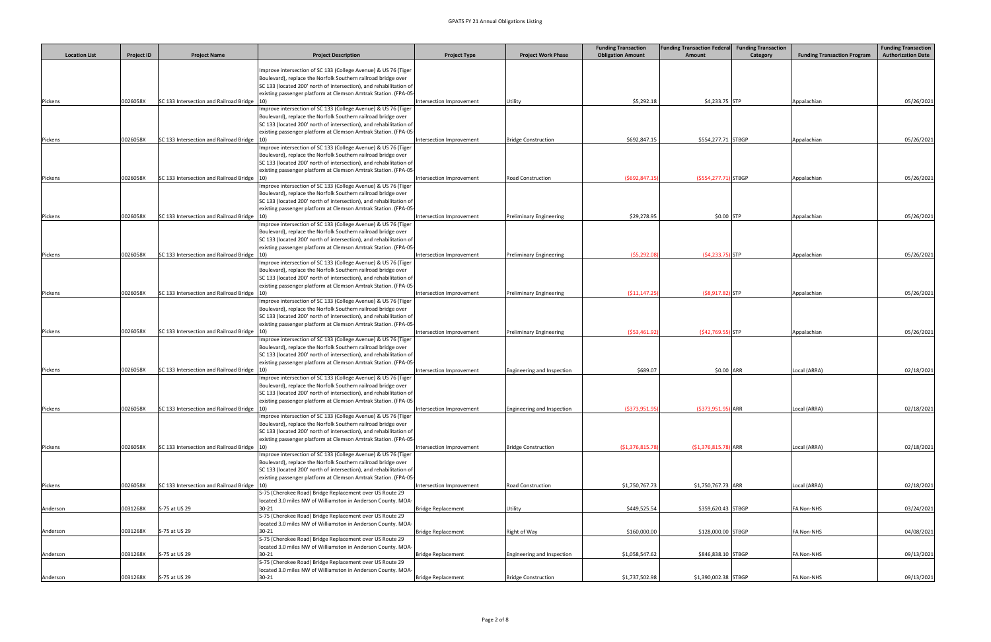|                      |                   |                                              |                                                                           |                           |                                | <b>Funding Transaction</b> | <b>Funding Transaction Federal</b> | <b>Funding Transaction</b> |                                    | <b>Funding Transaction</b> |
|----------------------|-------------------|----------------------------------------------|---------------------------------------------------------------------------|---------------------------|--------------------------------|----------------------------|------------------------------------|----------------------------|------------------------------------|----------------------------|
| <b>Location List</b> | <b>Project ID</b> | <b>Project Name</b>                          | <b>Project Description</b>                                                | <b>Project Type</b>       | <b>Project Work Phase</b>      | <b>Obligation Amount</b>   | Amount                             | Category                   | <b>Funding Transaction Program</b> | <b>Authorization Date</b>  |
|                      |                   |                                              | Improve intersection of SC 133 (College Avenue) & US 76 (Tiger            |                           |                                |                            |                                    |                            |                                    |                            |
|                      |                   |                                              | Boulevard), replace the Norfolk Southern railroad bridge over             |                           |                                |                            |                                    |                            |                                    |                            |
|                      |                   |                                              | SC 133 (located 200' north of intersection), and rehabilitation of        |                           |                                |                            |                                    |                            |                                    |                            |
|                      |                   |                                              | existing passenger platform at Clemson Amtrak Station. (FPA-05            |                           |                                |                            |                                    |                            |                                    |                            |
| Pickens              | 0026058X          | SC 133 Intersection and Railroad Bridge  10) | Improve intersection of SC 133 (College Avenue) & US 76 (Tiger            | Intersection Improvement  | Utility                        | \$5,292.18                 | \$4,233.75 STP                     |                            | Appalachian                        | 05/26/2021                 |
|                      |                   |                                              | Boulevard), replace the Norfolk Southern railroad bridge over             |                           |                                |                            |                                    |                            |                                    |                            |
|                      |                   |                                              | SC 133 (located 200' north of intersection), and rehabilitation of        |                           |                                |                            |                                    |                            |                                    |                            |
|                      |                   |                                              | existing passenger platform at Clemson Amtrak Station. (FPA-05-           |                           |                                |                            |                                    |                            |                                    |                            |
| Pickens              | 0026058X          | SC 133 Intersection and Railroad Bridge 10   | Improve intersection of SC 133 (College Avenue) & US 76 (Tiger            | Intersection Improvement  | <b>Bridge Construction</b>     | \$692,847.15               | \$554,277.71 STBGP                 |                            | Appalachian                        | 05/26/2021                 |
|                      |                   |                                              | Boulevard), replace the Norfolk Southern railroad bridge over             |                           |                                |                            |                                    |                            |                                    |                            |
|                      |                   |                                              | SC 133 (located 200' north of intersection), and rehabilitation of        |                           |                                |                            |                                    |                            |                                    |                            |
|                      |                   |                                              | existing passenger platform at Clemson Amtrak Station. (FPA-05            |                           |                                |                            |                                    |                            |                                    |                            |
| Pickens              | 0026058X          | SC 133 Intersection and Railroad Bridge      | Improve intersection of SC 133 (College Avenue) & US 76 (Tiger            | Intersection Improvement  | Road Construction              | (5692, 847.15)             | (\$554,277.71) STBGP               |                            | Appalachian                        | 05/26/2021                 |
|                      |                   |                                              | Boulevard), replace the Norfolk Southern railroad bridge over             |                           |                                |                            |                                    |                            |                                    |                            |
|                      |                   |                                              | SC 133 (located 200' north of intersection), and rehabilitation of        |                           |                                |                            |                                    |                            |                                    |                            |
|                      |                   |                                              | existing passenger platform at Clemson Amtrak Station. (FPA-05            |                           |                                |                            |                                    |                            |                                    |                            |
| Pickens              | 0026058X          | SC 133 Intersection and Railroad Bridge      | Improve intersection of SC 133 (College Avenue) & US 76 (Tiger            | Intersection Improvement  | <b>Preliminary Engineering</b> | \$29,278.95                | $$0.00$ STP                        |                            | Appalachian                        | 05/26/2021                 |
|                      |                   |                                              | Boulevard), replace the Norfolk Southern railroad bridge over             |                           |                                |                            |                                    |                            |                                    |                            |
|                      |                   |                                              | SC 133 (located 200' north of intersection), and rehabilitation of        |                           |                                |                            |                                    |                            |                                    |                            |
|                      |                   |                                              | existing passenger platform at Clemson Amtrak Station. (FPA-05            |                           |                                |                            |                                    |                            |                                    |                            |
| Pickens              | 0026058X          | SC 133 Intersection and Railroad Bridge 10)  | Improve intersection of SC 133 (College Avenue) & US 76 (Tiger            | Intersection Improvement  | <b>Preliminary Engineering</b> | (55, 292.08)               | $(54, 233.75)$ STP                 |                            | Appalachian                        | 05/26/2021                 |
|                      |                   |                                              | Boulevard), replace the Norfolk Southern railroad bridge over             |                           |                                |                            |                                    |                            |                                    |                            |
|                      |                   |                                              | SC 133 (located 200' north of intersection), and rehabilitation of        |                           |                                |                            |                                    |                            |                                    |                            |
|                      |                   |                                              | existing passenger platform at Clemson Amtrak Station. (FPA-05            |                           |                                |                            |                                    |                            |                                    |                            |
| Pickens              | 0026058X          | SC 133 Intersection and Railroad Bridge      | Improve intersection of SC 133 (College Avenue) & US 76 (Tiger            | Intersection Improvement  | <b>Preliminary Engineering</b> | ( \$11,147.25              | $( $8,917.82)$ STP                 |                            | Appalachian                        | 05/26/2021                 |
|                      |                   |                                              | Boulevard), replace the Norfolk Southern railroad bridge over             |                           |                                |                            |                                    |                            |                                    |                            |
|                      |                   |                                              | SC 133 (located 200' north of intersection), and rehabilitation of        |                           |                                |                            |                                    |                            |                                    |                            |
|                      |                   |                                              | existing passenger platform at Clemson Amtrak Station. (FPA-05-           |                           |                                |                            |                                    |                            |                                    |                            |
| Pickens              | 0026058X          | SC 133 Intersection and Railroad Bridge  10) | Improve intersection of SC 133 (College Avenue) & US 76 (Tiger            | Intersection Improvement  | <b>Preliminary Engineering</b> | (553,461.92)               | $($42,769.55)$ STP                 |                            | Appalachian                        | 05/26/2021                 |
|                      |                   |                                              | Boulevard), replace the Norfolk Southern railroad bridge over             |                           |                                |                            |                                    |                            |                                    |                            |
|                      |                   |                                              | SC 133 (located 200' north of intersection), and rehabilitation of        |                           |                                |                            |                                    |                            |                                    |                            |
|                      |                   |                                              | existing passenger platform at Clemson Amtrak Station. (FPA-05            |                           |                                |                            |                                    |                            |                                    |                            |
| Pickens              | 0026058X          | SC 133 Intersection and Railroad Bridge  10) | Improve intersection of SC 133 (College Avenue) & US 76 (Tiger            | Intersection Improvement  | Engineering and Inspection     | \$689.07                   | \$0.00 ARR                         |                            | Local (ARRA)                       | 02/18/2021                 |
|                      |                   |                                              | Boulevard), replace the Norfolk Southern railroad bridge over             |                           |                                |                            |                                    |                            |                                    |                            |
|                      |                   |                                              | SC 133 (located 200' north of intersection), and rehabilitation of        |                           |                                |                            |                                    |                            |                                    |                            |
|                      |                   |                                              | existing passenger platform at Clemson Amtrak Station. (FPA-05            |                           |                                |                            |                                    |                            |                                    |                            |
| Pickens              | 0026058X          | SC 133 Intersection and Railroad Bridge 10)  | Improve intersection of SC 133 (College Avenue) & US 76 (Tiger            | Intersection Improvement  | Engineering and Inspection     | ( \$373, 951.95]           | $($ \$373,951.95) ARR              |                            | Local (ARRA)                       | 02/18/2021                 |
|                      |                   |                                              | Boulevard), replace the Norfolk Southern railroad bridge over             |                           |                                |                            |                                    |                            |                                    |                            |
|                      |                   |                                              | SC 133 (located 200' north of intersection), and rehabilitation of        |                           |                                |                            |                                    |                            |                                    |                            |
|                      |                   |                                              | existing passenger platform at Clemson Amtrak Station. (FPA-05            |                           |                                |                            |                                    |                            |                                    |                            |
| Pickens              | 0026058X          | SC 133 Intersection and Railroad Bridge 10)  | Improve intersection of SC 133 (College Avenue) & US 76 (Tiger            | Intersection Improvement  | <b>Bridge Construction</b>     | (51, 376, 815.78)          | $(S1, 376, 815.78)$ ARR            |                            | Local (ARRA)                       | 02/18/2021                 |
|                      |                   |                                              | Boulevard), replace the Norfolk Southern railroad bridge over             |                           |                                |                            |                                    |                            |                                    |                            |
|                      |                   |                                              | SC 133 (located 200' north of intersection), and rehabilitation of        |                           |                                |                            |                                    |                            |                                    |                            |
|                      |                   |                                              | existing passenger platform at Clemson Amtrak Station. (FPA-05            |                           |                                |                            |                                    |                            |                                    |                            |
| Pickens              | 0026058X          | SC 133 Intersection and Railroad Bridge 10)  | S-75 (Cherokee Road) Bridge Replacement over US Route 29                  | Intersection Improvement  | <b>Road Construction</b>       | \$1,750,767.73             | \$1,750,767.73 ARR                 |                            | Local (ARRA)                       | 02/18/2021                 |
|                      |                   |                                              | located 3.0 miles NW of Williamston in Anderson County. MOA-              |                           |                                |                            |                                    |                            |                                    |                            |
| Anderson             | 0031268X          | S-75 at US 29                                | $30 - 21$                                                                 | <b>Bridge Replacement</b> | Utility                        | \$449,525.54               | \$359,620.43 STBGP                 |                            | <b>FA Non-NHS</b>                  | 03/24/2021                 |
|                      |                   |                                              | S-75 (Cherokee Road) Bridge Replacement over US Route 29                  |                           |                                |                            |                                    |                            |                                    |                            |
|                      | 0031268X          |                                              | located 3.0 miles NW of Williamston in Anderson County. MOA-<br>$30 - 21$ |                           |                                |                            | \$128,000.00 STBGP                 |                            |                                    |                            |
| Anderson             |                   | S-75 at US 29                                | S-75 (Cherokee Road) Bridge Replacement over US Route 29                  | <b>Bridge Replacement</b> | Right of Way                   | \$160,000.00               |                                    |                            | <b>FA Non-NHS</b>                  | 04/08/2021                 |
|                      |                   |                                              | located 3.0 miles NW of Williamston in Anderson County. MOA-              |                           |                                |                            |                                    |                            |                                    |                            |
| Anderson             | 0031268X          | S-75 at US 29                                | $30 - 21$                                                                 | Bridge Replacement        | Engineering and Inspection     | \$1,058,547.62             | \$846,838.10 STBGP                 |                            | <b>FA Non-NHS</b>                  | 09/13/2021                 |
|                      |                   |                                              | S-75 (Cherokee Road) Bridge Replacement over US Route 29                  |                           |                                |                            |                                    |                            |                                    |                            |
| Anderson             | 0031268X          | S-75 at US 29                                | located 3.0 miles NW of Williamston in Anderson County. MOA-<br>$30 - 21$ | Bridge Replacement        | <b>Bridge Construction</b>     | \$1,737,502.98             | \$1,390,002.38 STBGP               |                            | <b>FA Non-NHS</b>                  | 09/13/2021                 |
|                      |                   |                                              |                                                                           |                           |                                |                            |                                    |                            |                                    |                            |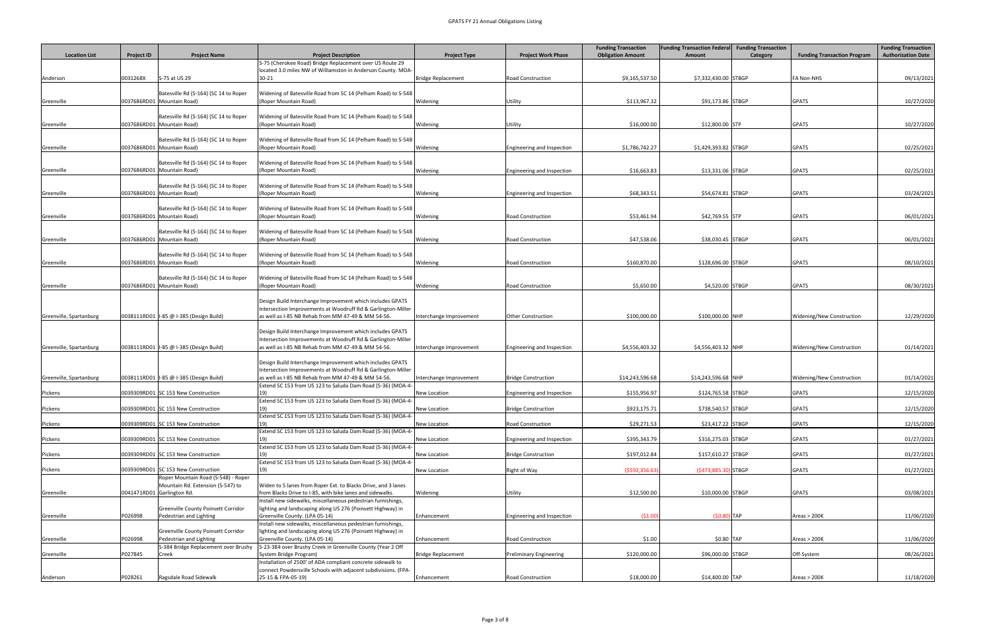|                         |                            |                                                                          |                                                                                                                             |                           |                                | <b>Funding Transaction</b> | <b>Funding Transaction Federal</b> | <b>Funding Transaction</b> |                                    | <b>Funding Transaction</b> |
|-------------------------|----------------------------|--------------------------------------------------------------------------|-----------------------------------------------------------------------------------------------------------------------------|---------------------------|--------------------------------|----------------------------|------------------------------------|----------------------------|------------------------------------|----------------------------|
| <b>Location List</b>    | <b>Project ID</b>          | <b>Project Name</b>                                                      | <b>Project Description</b>                                                                                                  | <b>Project Type</b>       | <b>Project Work Phase</b>      | <b>Obligation Amount</b>   | Amount                             | Category                   | <b>Funding Transaction Program</b> | <b>Authorization Date</b>  |
|                         |                            |                                                                          | S-75 (Cherokee Road) Bridge Replacement over US Route 29<br>located 3.0 miles NW of Williamston in Anderson County. MOA-    |                           |                                |                            |                                    |                            |                                    |                            |
| Anderson                | 0031268X                   | S-75 at US 29                                                            | $30 - 21$                                                                                                                   | Bridge Replacement        | <b>Road Construction</b>       | \$9,165,537.50             | \$7,332,430.00 STBGP               |                            | <b>FA Non-NHS</b>                  | 09/13/2021                 |
|                         |                            | Batesville Rd (S-164) (SC 14 to Roper                                    | Widening of Batesville Road from SC 14 (Pelham Road) to S-548                                                               |                           |                                |                            |                                    |                            |                                    |                            |
| Greenville              |                            | 0037686RD01 Mountain Road)                                               | (Roper Mountain Road)                                                                                                       | Widening                  | Utility                        | \$113,967.32               | \$91,173.86 STBGP                  |                            | GPATS                              | 10/27/2020                 |
|                         |                            |                                                                          |                                                                                                                             |                           |                                |                            |                                    |                            |                                    |                            |
| Greenville              |                            | Batesville Rd (S-164) (SC 14 to Roper<br>0037686RD01 Mountain Road)      | Widening of Batesville Road from SC 14 (Pelham Road) to S-548<br>(Roper Mountain Road)                                      | Widening                  | Utility                        | \$16,000.00                | \$12,800.00 STP                    |                            | <b>GPATS</b>                       | 10/27/2020                 |
|                         |                            |                                                                          |                                                                                                                             |                           |                                |                            |                                    |                            |                                    |                            |
| Greenville              |                            | Batesville Rd (S-164) (SC 14 to Roper<br>0037686RD01 Mountain Road)      | Widening of Batesville Road from SC 14 (Pelham Road) to S-548<br>(Roper Mountain Road)                                      | Widening                  | Engineering and Inspection     | \$1,786,742.27             | \$1,429,393.82 STBGP               |                            | <b>GPATS</b>                       | 02/25/2021                 |
|                         |                            |                                                                          |                                                                                                                             |                           |                                |                            |                                    |                            |                                    |                            |
|                         |                            | Batesville Rd (S-164) (SC 14 to Roper<br>0037686RD01 Mountain Road)      | <b>Nidening of Batesville Road from SC 14 (Pelham Road) to S-548</b><br>(Roper Mountain Road)                               | Widening                  |                                | \$16,663.83                | \$13,331.06 STBGP                  |                            | GPATS                              | 02/25/2021                 |
| Greenville              |                            |                                                                          |                                                                                                                             |                           | Engineering and Inspection     |                            |                                    |                            |                                    |                            |
|                         |                            | Batesville Rd (S-164) (SC 14 to Roper                                    | Widening of Batesville Road from SC 14 (Pelham Road) to S-548                                                               |                           |                                |                            |                                    |                            |                                    |                            |
| Greenville              |                            | 0037686RD01 Mountain Road)                                               | (Roper Mountain Road)                                                                                                       | Widening                  | Engineering and Inspection     | \$68,343.51                | \$54,674.81 STBGP                  |                            | GPATS                              | 03/24/2021                 |
|                         |                            | Batesville Rd (S-164) (SC 14 to Roper                                    | Widening of Batesville Road from SC 14 (Pelham Road) to S-548                                                               |                           |                                |                            |                                    |                            |                                    |                            |
| Greenville              |                            | 0037686RD01 Mountain Road)                                               | (Roper Mountain Road)                                                                                                       | Widening                  | <b>Road Construction</b>       | \$53,461.94                | \$42,769.55 STP                    |                            | GPATS                              | 06/01/2021                 |
|                         |                            | Batesville Rd (S-164) (SC 14 to Roper                                    | Widening of Batesville Road from SC 14 (Pelham Road) to S-548                                                               |                           |                                |                            |                                    |                            |                                    |                            |
| Greenville              |                            | 0037686RD01 Mountain Road)                                               | (Roper Mountain Road)                                                                                                       | Widening                  | <b>Road Construction</b>       | \$47,538.06                | \$38,030.45 STBGP                  |                            | GPATS                              | 06/01/2021                 |
|                         |                            | Batesville Rd (S-164) (SC 14 to Roper                                    | Widening of Batesville Road from SC 14 (Pelham Road) to S-548                                                               |                           |                                |                            |                                    |                            |                                    |                            |
| Greenville              |                            | 0037686RD01 Mountain Road)                                               | (Roper Mountain Road)                                                                                                       | Widening                  | <b>Road Construction</b>       | \$160,870.00               | \$128,696.00 STBGP                 |                            | <b>GPATS</b>                       | 08/10/2021                 |
|                         |                            | Batesville Rd (S-164) (SC 14 to Roper                                    | Widening of Batesville Road from SC 14 (Pelham Road) to S-548                                                               |                           |                                |                            |                                    |                            |                                    |                            |
| Greenville              |                            | 0037686RD01 Mountain Road)                                               | (Roper Mountain Road)                                                                                                       | Widening                  | <b>Road Construction</b>       | \$5,650.00                 | \$4,520.00 STBGP                   |                            | <b>GPATS</b>                       | 08/30/2021                 |
|                         |                            |                                                                          | Design Build Interchange Improvement which includes GPATS                                                                   |                           |                                |                            |                                    |                            |                                    |                            |
|                         |                            |                                                                          | ntersection Improvements at Woodruff Rd & Garlington-Miller                                                                 |                           |                                |                            |                                    |                            |                                    |                            |
| Greenville, Spartanburg |                            | 0038111RD01   I-85 @ I-385 (Design Build)                                | as well as I-85 NB Rehab from MM 47-49 & MM 54-56.                                                                          | Interchange Improvement   | <b>Other Construction</b>      | \$100,000.00               | \$100,000.00 NHP                   |                            | Widening/New Construction          | 12/29/2020                 |
|                         |                            |                                                                          | Design Build Interchange Improvement which includes GPATS                                                                   |                           |                                |                            |                                    |                            |                                    |                            |
|                         |                            |                                                                          | ntersection Improvements at Woodruff Rd & Garlington-Miller                                                                 |                           |                                |                            |                                    |                            |                                    |                            |
| Greenville, Spartanburg |                            | 0038111RD01   I-85 @ I-385 (Design Build)                                | as well as I-85 NB Rehab from MM 47-49 & MM 54-56.                                                                          | Interchange Improvement   | Engineering and Inspection     | \$4,556,403.32             | \$4,556,403.32 NHP                 |                            | Widening/New Construction          | 01/14/2021                 |
|                         |                            |                                                                          | Design Build Interchange Improvement which includes GPATS                                                                   |                           |                                |                            |                                    |                            |                                    |                            |
|                         |                            |                                                                          | ntersection Improvements at Woodruff Rd & Garlington-Miller                                                                 |                           |                                |                            |                                    |                            |                                    |                            |
| Greenville, Spartanburg |                            | 0038111RD01   I-85 @ I-385 (Design Build)                                | as well as I-85 NB Rehab from MM 47-49 & MM 54-56.<br>Extend SC 153 from US 123 to Saluda Dam Road (S-36) (MOA-4-           | Interchange Improvement   | <b>Bridge Construction</b>     | \$14,243,596.68            | \$14,243,596.68 NHP                |                            | Widening/New Construction          | 01/14/2021                 |
| Pickens                 |                            | 0039309RD01 SC 153 New Construction                                      |                                                                                                                             | <b>New Location</b>       | Engineering and Inspection     | \$155,956.97               | \$124,765.58 STBGP                 |                            | <b>GPATS</b>                       | 12/15/2020                 |
| Pickens                 |                            | 0039309RD01 SC 153 New Construction                                      | Extend SC 153 from US 123 to Saluda Dam Road (S-36) (MOA-4-                                                                 | New Location              | <b>Bridge Construction</b>     | \$923,175.71               | \$738,540.57 STBGP                 |                            | GPATS                              | 12/15/2020                 |
|                         |                            |                                                                          | Extend SC 153 from US 123 to Saluda Dam Road (S-36) (MOA-4-                                                                 |                           |                                |                            |                                    |                            |                                    |                            |
| Pickens                 |                            | 0039309RD01 SC 153 New Construction                                      | Extend SC 153 from US 123 to Saluda Dam Road (S-36) (MOA-4-                                                                 | New Location              | <b>Road Construction</b>       | \$29,271.53                | \$23,417.22 STBGP                  |                            | <b>GPATS</b>                       | 12/15/2020                 |
| Pickens                 |                            | 0039309RD01 SC 153 New Construction                                      |                                                                                                                             | <b>New Location</b>       | Engineering and Inspection     | \$395,343.79               | \$316,275.03 STBGP                 |                            | <b>GPATS</b>                       | 01/27/2021                 |
|                         |                            | 0039309RD01 SC 153 New Construction                                      | Extend SC 153 from US 123 to Saluda Dam Road (S-36) (MOA-4-                                                                 | New Location              | <b>Bridge Construction</b>     | \$197,012.84               | \$157,610.27 STBGP                 |                            | <b>GPATS</b>                       | 01/27/2021                 |
| Pickens                 |                            |                                                                          | Extend SC 153 from US 123 to Saluda Dam Road (S-36) (MOA-4-                                                                 |                           |                                |                            |                                    |                            |                                    |                            |
| Pickens                 |                            | 0039309RD01 SC 153 New Construction                                      |                                                                                                                             | New Location              | Right of Way                   | (5592, 356.63)             | (\$473,885.30) STBGP               |                            | <b>GPATS</b>                       | 01/27/2021                 |
|                         |                            | Roper Mountain Road (S-548) - Roper<br>Mountain Rd. Extension (S-547) to | Widen to 5 lanes from Roper Ext. to Blacks Drive, and 3 lanes                                                               |                           |                                |                            |                                    |                            |                                    |                            |
| Greenville              | 0041471RD01 Garlington Rd. |                                                                          | from Blacks Drive to I-85, with bike lanes and sidewalks.                                                                   | Widening                  | Utility                        | \$12,500.00                | \$10,000.00 STBGP                  |                            | GPATS                              | 03/08/2021                 |
|                         |                            | <b>Greenville County Poinsett Corridor</b>                               | Install new sidewalks, miscellaneous pedestrian furnishings,<br>lighting and landscaping along US 276 (Poinsett Highway) in |                           |                                |                            |                                    |                            |                                    |                            |
| Greenville              | P026998                    | Pedestrian and Lighting                                                  | Greenville County. (LPA 05-14)                                                                                              | Enhancement               | Engineering and Inspection     | (51.00)                    | $(50.80)$ TAP                      |                            | Areas > 200K                       | 11/06/2020                 |
|                         |                            | Greenville County Poinsett Corridor                                      | Install new sidewalks, miscellaneous pedestrian furnishings,<br>lighting and landscaping along US 276 (Poinsett Highway) in |                           |                                |                            |                                    |                            |                                    |                            |
| Greenville              | P026998                    | Pedestrian and Lighting                                                  | Greenville County. (LPA 05-14)                                                                                              | Enhancement               | <b>Road Construction</b>       | \$1.00                     | \$0.80 TAP                         |                            | Areas > 200K                       | 11/06/2020                 |
|                         |                            | S-384 Bridge Replacement over Brushy                                     | S-23-384 over Brushy Creek in Greenville County (Year 2 Off                                                                 |                           |                                |                            |                                    |                            |                                    |                            |
| Greenville              | P027845                    | Creek                                                                    | System Bridge Program)<br>Installation of 2500' of ADA compliant concrete sidewalk to                                       | <b>Bridge Replacement</b> | <b>Preliminary Engineering</b> | \$120,000.00               | \$96,000.00 STBGP                  |                            | Off-System                         | 08/26/2021                 |
|                         |                            |                                                                          | connect Powdersville Schools with adjacent subdivisions. (FPA-                                                              |                           |                                |                            |                                    |                            |                                    |                            |
| Anderson                | P028261                    | Ragsdale Road Sidewalk                                                   | 25-15 & FPA-05-19)                                                                                                          | Enhancement               | Road Construction              | \$18,000.00                | \$14,400.00 TAP                    |                            | Areas > 200K                       | 11/18/2020                 |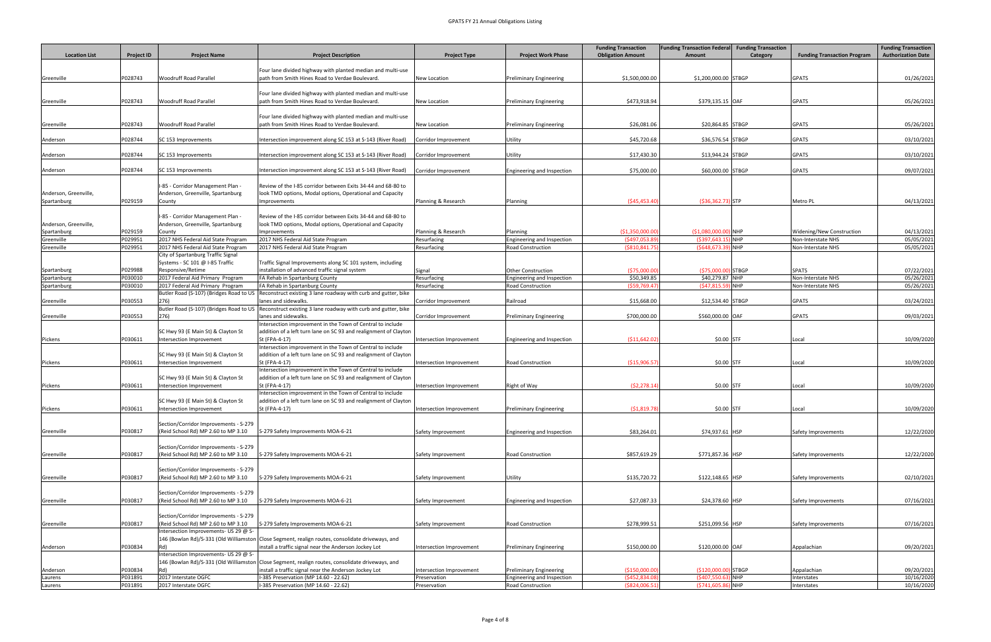|                            |                    |                                                                              |                                                                                                                                                           |                                    |                                                         | <b>Funding Transaction</b>       | <b>Funding Transaction Federal</b>             | <b>Funding Transaction</b> |                                                 | <b>Funding Transaction</b> |
|----------------------------|--------------------|------------------------------------------------------------------------------|-----------------------------------------------------------------------------------------------------------------------------------------------------------|------------------------------------|---------------------------------------------------------|----------------------------------|------------------------------------------------|----------------------------|-------------------------------------------------|----------------------------|
| <b>Location List</b>       | <b>Project ID</b>  | <b>Project Name</b>                                                          | <b>Project Description</b>                                                                                                                                | <b>Project Type</b>                | <b>Project Work Phase</b>                               | <b>Obligation Amount</b>         | Amount                                         | Category                   | <b>Funding Transaction Program</b>              | <b>Authorization Date</b>  |
|                            |                    |                                                                              | Four lane divided highway with planted median and multi-use                                                                                               |                                    |                                                         |                                  |                                                |                            |                                                 |                            |
| Greenville                 | P028743            | <b>Woodruff Road Parallel</b>                                                | path from Smith Hines Road to Verdae Boulevard.                                                                                                           | <b>New Location</b>                | <b>Preliminary Engineering</b>                          | \$1,500,000.00                   | \$1,200,000.00 STBGP                           |                            | GPATS                                           | 01/26/2021                 |
|                            |                    |                                                                              |                                                                                                                                                           |                                    |                                                         |                                  |                                                |                            |                                                 |                            |
|                            |                    |                                                                              | Four lane divided highway with planted median and multi-use                                                                                               |                                    |                                                         |                                  |                                                |                            |                                                 |                            |
| Greenville                 | P028743            | <b>Woodruff Road Parallel</b>                                                | path from Smith Hines Road to Verdae Boulevard.                                                                                                           | <b>New Location</b>                | <b>Preliminary Engineering</b>                          | \$473,918.94                     | \$379,135.15 OAF                               |                            | GPATS                                           | 05/26/2021                 |
|                            |                    |                                                                              | Four lane divided highway with planted median and multi-use                                                                                               |                                    |                                                         |                                  |                                                |                            |                                                 |                            |
| Greenville                 | P028743            | <b>Woodruff Road Parallel</b>                                                | path from Smith Hines Road to Verdae Boulevard.                                                                                                           | <b>New Location</b>                | <b>Preliminary Engineering</b>                          | \$26,081.06                      | \$20,864.85 STBGP                              |                            | GPATS                                           | 05/26/2021                 |
|                            |                    |                                                                              |                                                                                                                                                           |                                    |                                                         |                                  |                                                |                            |                                                 |                            |
| Anderson                   | P028744            | SC 153 Improvements                                                          | Intersection improvement along SC 153 at S-143 (River Road)                                                                                               | Corridor Improvement               | Utility                                                 | \$45,720.68                      | \$36,576.54 STBGP                              |                            | <b>GPATS</b>                                    | 03/10/2021                 |
| Anderson                   | P028744            | SC 153 Improvements                                                          | Intersection improvement along SC 153 at S-143 (River Road)                                                                                               | Corridor Improvement               | Utility                                                 | \$17,430.30                      | \$13,944.24 STBGP                              |                            | <b>GPATS</b>                                    | 03/10/2021                 |
|                            |                    |                                                                              |                                                                                                                                                           |                                    |                                                         |                                  |                                                |                            |                                                 |                            |
| Anderson                   | P028744            | SC 153 Improvements                                                          | Intersection improvement along SC 153 at S-143 (River Road)                                                                                               | Corridor Improvement               | Engineering and Inspection                              | \$75,000.00                      | \$60,000.00 STBGP                              |                            | <b>GPATS</b>                                    | 09/07/2021                 |
|                            |                    |                                                                              |                                                                                                                                                           |                                    |                                                         |                                  |                                                |                            |                                                 |                            |
| Anderson, Greenville,      |                    | I-85 - Corridor Management Plan -<br>Anderson, Greenville, Spartanburg       | Review of the I-85 corridor between Exits 34-44 and 68-80 to<br>look TMD options, Modal options, Operational and Capacity                                 |                                    |                                                         |                                  |                                                |                            |                                                 |                            |
| Spartanburg                | P029159            | County                                                                       | Improvements                                                                                                                                              | Planning & Research                | Planning                                                | ( \$45,453.40                    | $( $36, 362.73)$ STP                           |                            | Metro PL                                        | 04/13/2021                 |
|                            |                    |                                                                              |                                                                                                                                                           |                                    |                                                         |                                  |                                                |                            |                                                 |                            |
|                            |                    | I-85 - Corridor Management Plan -                                            | Review of the I-85 corridor between Exits 34-44 and 68-80 to                                                                                              |                                    |                                                         |                                  |                                                |                            |                                                 |                            |
| Anderson, Greenville,      |                    | Anderson, Greenville, Spartanburg                                            | look TMD options, Modal options, Operational and Capacity                                                                                                 |                                    |                                                         |                                  |                                                |                            |                                                 |                            |
| Spartanburg<br>Greenville  | P029159<br>P029951 | County<br>2017 NHS Federal Aid State Program                                 | Improvements<br>2017 NHS Federal Aid State Program                                                                                                        | Planning & Research<br>Resurfacing | Planning<br>Engineering and Inspection                  | (\$1,350,000.00<br>(5497,053.89) | $($1,080,000.00)$ NHP<br>$( $397, 643.15)$ NHP |                            | Widening/New Construction<br>Non-Interstate NHS | 04/13/2021<br>05/05/2021   |
| Greenville                 | P029951            | 2017 NHS Federal Aid State Program                                           | 2017 NHS Federal Aid State Program                                                                                                                        | Resurfacing                        | <b>Road Construction</b>                                | ( \$810, 841.7)                  | $(5648, 673.39)$ NHP                           |                            | Non-Interstate NHS                              | 05/05/2021                 |
|                            |                    | City of Spartanburg Traffic Signal                                           |                                                                                                                                                           |                                    |                                                         |                                  |                                                |                            |                                                 |                            |
|                            |                    | Systems - SC 101 @ I-85 Traffic                                              | Traffic Signal Improvements along SC 101 system, including                                                                                                |                                    |                                                         |                                  |                                                |                            |                                                 |                            |
| Spartanburg<br>Spartanburg | P029988<br>P030010 | Responsive/Retime<br>2017 Federal Aid Primary Program                        | installation of advanced traffic signal system<br>FA Rehab in Spartanburg County                                                                          | Signal<br>Resurfacing              | <b>Other Construction</b><br>Engineering and Inspection | (575,000.00)<br>\$50,349.85      | (\$75,000.00) STBGP<br>\$40,279.87 NHP         |                            | <b>SPATS</b><br>Non-Interstate NHS              | 07/22/2021<br>05/26/2021   |
| Spartanburg                | P030010            | 2017 Federal Aid Primary Program                                             | FA Rehab in Spartanburg County                                                                                                                            | Resurfacing                        | <b>Road Construction</b>                                | ( \$59,769.47                    | $(547,815.59)$ NHP                             |                            | Non-Interstate NHS                              | 05/26/2021                 |
|                            |                    | Butler Road (S-107) (Bridges Road to US                                      | Reconstruct existing 3 lane roadway with curb and gutter, bike                                                                                            |                                    |                                                         |                                  |                                                |                            |                                                 |                            |
| Greenville                 | P030553            | 276)                                                                         | lanes and sidewalks.                                                                                                                                      | Corridor Improvement               | Railroad                                                | \$15,668.00                      | \$12,534.40 STBGP                              |                            | <b>GPATS</b>                                    | 03/24/2021                 |
|                            |                    | Butler Road (S-107) (Bridges Road to US                                      | Reconstruct existing 3 lane roadway with curb and gutter, bike                                                                                            |                                    |                                                         |                                  |                                                |                            |                                                 |                            |
| Greenville                 | P030553            | 276)                                                                         | lanes and sidewalks.<br>Intersection improvement in the Town of Central to include                                                                        | Corridor Improvement               | <b>Preliminary Engineering</b>                          | \$700,000.00                     | \$560,000.00 OAF                               |                            | GPATS                                           | 09/03/2021                 |
|                            |                    | SC Hwy 93 (E Main St) & Clayton St                                           | addition of a left turn lane on SC 93 and realignment of Clayton                                                                                          |                                    |                                                         |                                  |                                                |                            |                                                 |                            |
| Pickens                    | P030611            | Intersection Improvement                                                     | St (FPA-4-17)                                                                                                                                             | Intersection Improvement           | Engineering and Inspection                              | ( \$11,642.02                    | $$0.00$ STF                                    |                            | Local                                           | 10/09/2020                 |
|                            |                    |                                                                              | Intersection improvement in the Town of Central to include                                                                                                |                                    |                                                         |                                  |                                                |                            |                                                 |                            |
| Pickens                    | P030611            | SC Hwy 93 (E Main St) & Clayton St<br>Intersection Improvement               | addition of a left turn lane on SC 93 and realignment of Clayton<br>St (FPA-4-17)                                                                         | Intersection Improvement           | <b>Road Construction</b>                                | ( \$15,906.57                    | $$0.00$ STF                                    |                            |                                                 | 10/09/2020                 |
|                            |                    |                                                                              | Intersection improvement in the Town of Central to include                                                                                                |                                    |                                                         |                                  |                                                |                            | Local                                           |                            |
|                            |                    | SC Hwy 93 (E Main St) & Clayton St                                           | addition of a left turn lane on SC 93 and realignment of Clayton                                                                                          |                                    |                                                         |                                  |                                                |                            |                                                 |                            |
| Pickens                    | P030611            | Intersection Improvement                                                     | St (FPA-4-17)                                                                                                                                             | Intersection Improvement           | Right of Way                                            | (52, 278.14)                     | $$0.00$ STF                                    |                            | Local                                           | 10/09/2020                 |
|                            |                    | SC Hwy 93 (E Main St) & Clayton St                                           | Intersection improvement in the Town of Central to include<br>addition of a left turn lane on SC 93 and realignment of Clayton                            |                                    |                                                         |                                  |                                                |                            |                                                 |                            |
| Pickens                    | P030611            | Intersection Improvement                                                     | St (FPA-4-17)                                                                                                                                             | Intersection Improvement           | <b>Preliminary Engineering</b>                          | (51,819.78)                      | $$0.00$ STF                                    |                            | Local                                           | 10/09/2020                 |
|                            |                    |                                                                              |                                                                                                                                                           |                                    |                                                         |                                  |                                                |                            |                                                 |                            |
|                            |                    | Section/Corridor Improvements - S-279                                        |                                                                                                                                                           |                                    |                                                         |                                  |                                                |                            |                                                 |                            |
| Greenville                 | P030817            | (Reid School Rd) MP 2.60 to MP 3.10                                          | S-279 Safety Improvements MOA-6-21                                                                                                                        | Safety Improvement                 | Engineering and Inspection                              | \$83,264.01                      | \$74,937.61 HSP                                |                            | Safety Improvements                             | 12/22/2020                 |
|                            |                    | Section/Corridor Improvements - S-279                                        |                                                                                                                                                           |                                    |                                                         |                                  |                                                |                            |                                                 |                            |
| Greenville                 | P030817            | (Reid School Rd) MP 2.60 to MP 3.10                                          | S-279 Safety Improvements MOA-6-21                                                                                                                        | Safety Improvement                 | <b>Road Construction</b>                                | \$857,619.29                     | \$771,857.36 HSP                               |                            | Safety Improvements                             | 12/22/2020                 |
|                            |                    |                                                                              |                                                                                                                                                           |                                    |                                                         |                                  |                                                |                            |                                                 |                            |
|                            |                    | Section/Corridor Improvements - S-279                                        |                                                                                                                                                           |                                    |                                                         |                                  |                                                |                            |                                                 |                            |
| Greenville                 | P030817            | (Reid School Rd) MP 2.60 to MP 3.10                                          | S-279 Safety Improvements MOA-6-21                                                                                                                        | Safety Improvement                 | Utility                                                 | \$135,720.72                     | \$122,148.65 HSP                               |                            | Safety Improvements                             | 02/10/2021                 |
|                            |                    | Section/Corridor Improvements - S-279                                        |                                                                                                                                                           |                                    |                                                         |                                  |                                                |                            |                                                 |                            |
| Greenville                 | P030817            | (Reid School Rd) MP 2.60 to MP 3.10                                          | S-279 Safety Improvements MOA-6-21                                                                                                                        | Safety Improvement                 | Engineering and Inspection                              | \$27,087.33                      | \$24,378.60 HSP                                |                            | Safety Improvements                             | 07/16/2021                 |
|                            |                    |                                                                              |                                                                                                                                                           |                                    |                                                         |                                  |                                                |                            |                                                 |                            |
| Greenville                 | P030817            | Section/Corridor Improvements - S-279<br>(Reid School Rd) MP 2.60 to MP 3.10 | S-279 Safety Improvements MOA-6-21                                                                                                                        | Safety Improvement                 | <b>Road Construction</b>                                | \$278,999.51                     | \$251,099.56 HSP                               |                            | Safety Improvements                             | 07/16/2021                 |
|                            |                    | Intersection Improvements- US 29 @ S-                                        |                                                                                                                                                           |                                    |                                                         |                                  |                                                |                            |                                                 |                            |
|                            |                    |                                                                              | 146 (Bowlan Rd)/S-331 (Old Williamston Close Segment, realign routes, consolidate driveways, and                                                          |                                    |                                                         |                                  |                                                |                            |                                                 |                            |
| Anderson                   | P030834            | Rd)                                                                          | install a traffic signal near the Anderson Jockey Lot                                                                                                     | Intersection Improvement           | <b>Preliminary Engineering</b>                          | \$150,000.00                     | \$120,000.00 OAF                               |                            | Appalachian                                     | 09/20/2021                 |
|                            |                    | Intersection Improvements- US 29 @ S-                                        |                                                                                                                                                           |                                    |                                                         |                                  |                                                |                            |                                                 |                            |
| Anderson                   | P030834            |                                                                              | 146 (Bowlan Rd)/S-331 (Old Williamston Close Segment, realign routes, consolidate driveways, and<br>install a traffic signal near the Anderson Jockey Lot | Intersection Improvement           | <b>Preliminary Engineering</b>                          | (\$150,000.00                    | $(S120,000.00)$ STBGP                          |                            | Appalachian                                     | 09/20/2021                 |
| Laurens                    | P031891            | 2017 Interstate OGFC                                                         | I-385 Preservation (MP 14.60 - 22.62)                                                                                                                     | Preservation                       | Engineering and Inspection                              | (5452,834.08)                    | $(5407,550.63)$ NHP                            |                            | Interstates                                     | 10/16/2020                 |
| Laurens                    | P031891            | 2017 Interstate OGFC                                                         | I-385 Preservation (MP 14.60 - 22.62)                                                                                                                     | Preservation                       | <b>Road Construction</b>                                | $($ \$824,006.5                  | (\$741,605.86) NHP                             |                            | Interstates                                     | 10/16/2020                 |
|                            |                    |                                                                              |                                                                                                                                                           |                                    |                                                         |                                  |                                                |                            |                                                 |                            |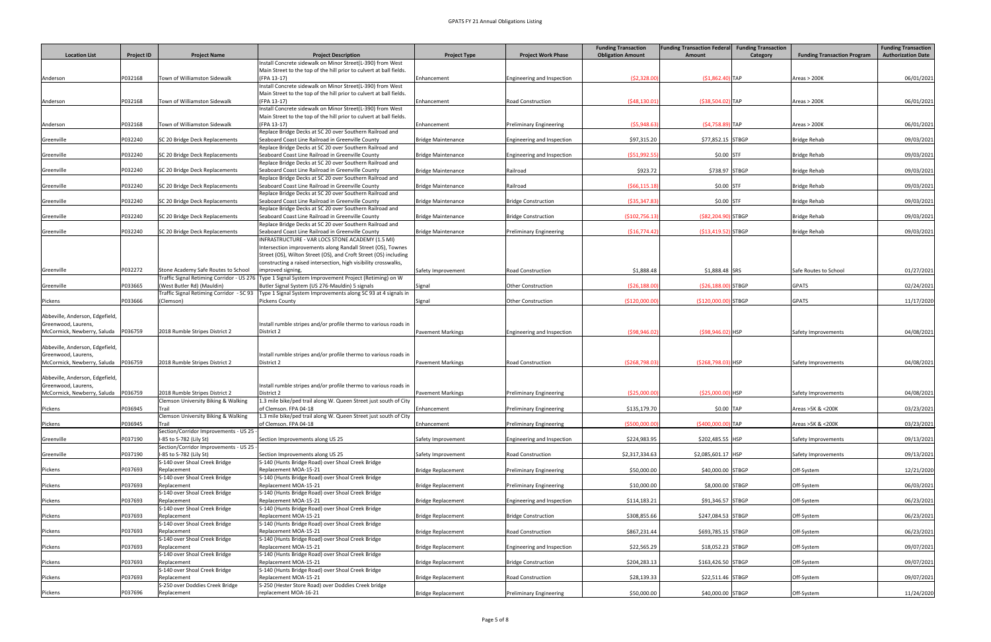|                                                        |                   |                                                                  |                                                                                                                                                       |                           |                                | <b>Funding Transaction</b> | <b>Funding Transaction Federal</b> | <b>Funding Transaction</b> |                                    | <b>Funding Transaction</b> |
|--------------------------------------------------------|-------------------|------------------------------------------------------------------|-------------------------------------------------------------------------------------------------------------------------------------------------------|---------------------------|--------------------------------|----------------------------|------------------------------------|----------------------------|------------------------------------|----------------------------|
| <b>Location List</b>                                   | <b>Project ID</b> | <b>Project Name</b>                                              | <b>Project Description</b>                                                                                                                            | <b>Project Type</b>       | <b>Project Work Phase</b>      | <b>Obligation Amount</b>   | Amount                             | <b>Category</b>            | <b>Funding Transaction Program</b> | <b>Authorization Date</b>  |
|                                                        |                   |                                                                  | Install Concrete sidewalk on Minor Street(L-390) from West                                                                                            |                           |                                |                            |                                    |                            |                                    |                            |
| Anderson                                               | P032168           | Town of Williamston Sidewalk                                     | Main Street to the top of the hill prior to culvert at ball fields.<br>(FPA 13-17)                                                                    | Enhancement               | Engineering and Inspection     | (52,328.00)                | $( $1,862.40]$ TAP                 |                            | Areas > 200K                       | 06/01/2021                 |
|                                                        |                   |                                                                  | Install Concrete sidewalk on Minor Street(L-390) from West                                                                                            |                           |                                |                            |                                    |                            |                                    |                            |
|                                                        |                   |                                                                  | Main Street to the top of the hill prior to culvert at ball fields.                                                                                   |                           |                                |                            |                                    |                            |                                    |                            |
| Anderson                                               | P032168           | Town of Williamston Sidewalk                                     | (FPA 13-17)<br>Install Concrete sidewalk on Minor Street(L-390) from West                                                                             | Enhancement               | <b>Road Construction</b>       | (548, 130.01)              | $(S38,504.02)$ TAP                 |                            | Areas > 200K                       | 06/01/2021                 |
|                                                        |                   |                                                                  | Main Street to the top of the hill prior to culvert at ball fields.                                                                                   |                           |                                |                            |                                    |                            |                                    |                            |
| Anderson                                               | P032168           | Town of Williamston Sidewalk                                     | (FPA 13-17)                                                                                                                                           | Enhancement               | <b>Preliminary Engineering</b> | (55,948.6)                 | $(54, 758.89)$ TAP                 |                            | Areas > 200K                       | 06/01/2021                 |
|                                                        |                   |                                                                  | Replace Bridge Decks at SC 20 over Southern Railroad and                                                                                              |                           |                                |                            |                                    |                            |                                    |                            |
| Greenville                                             | P032240           | SC 20 Bridge Deck Replacements                                   | Seaboard Coast Line Railroad in Greenville County<br>Replace Bridge Decks at SC 20 over Southern Railroad and                                         | <b>Bridge Maintenance</b> | Engineering and Inspection     | \$97,315.20                | \$77,852.15 STBGP                  |                            | <b>Bridge Rehab</b>                | 09/03/2021                 |
| Greenville                                             | P032240           | SC 20 Bridge Deck Replacements                                   | Seaboard Coast Line Railroad in Greenville County                                                                                                     | <b>Bridge Maintenance</b> | Engineering and Inspection     | (551,992.59)               | \$0.00 STF                         |                            | <b>Bridge Rehab</b>                | 09/03/2021                 |
|                                                        |                   |                                                                  | Replace Bridge Decks at SC 20 over Southern Railroad and                                                                                              |                           |                                |                            |                                    |                            |                                    |                            |
| Greenville                                             | P032240           | SC 20 Bridge Deck Replacements                                   | Seaboard Coast Line Railroad in Greenville County<br>Replace Bridge Decks at SC 20 over Southern Railroad and                                         | <b>Bridge Maintenance</b> | Railroad                       | \$923.72                   | \$738.97 STBGP                     |                            | <b>Bridge Rehab</b>                | 09/03/2021                 |
| Greenville                                             | P032240           | SC 20 Bridge Deck Replacements                                   | Seaboard Coast Line Railroad in Greenville County                                                                                                     | <b>Bridge Maintenance</b> | Railroad                       | (566, 115.1)               | \$0.00 STF                         |                            | <b>Bridge Rehab</b>                | 09/03/2021                 |
|                                                        |                   |                                                                  | Replace Bridge Decks at SC 20 over Southern Railroad and                                                                                              |                           |                                |                            |                                    |                            |                                    |                            |
| Greenville                                             | P032240           | SC 20 Bridge Deck Replacements                                   | Seaboard Coast Line Railroad in Greenville County                                                                                                     | <b>Bridge Maintenance</b> | <b>Bridge Construction</b>     | ( \$35, 347.83)            | \$0.00 STF                         |                            | <b>Bridge Rehab</b>                | 09/03/2021                 |
| Greenville                                             | P032240           | SC 20 Bridge Deck Replacements                                   | Replace Bridge Decks at SC 20 over Southern Railroad and<br>Seaboard Coast Line Railroad in Greenville County                                         | <b>Bridge Maintenance</b> | <b>Bridge Construction</b>     | ( \$102,756.13             | (\$82,204.90) STBGP                |                            | <b>Bridge Rehab</b>                | 09/03/2021                 |
|                                                        |                   |                                                                  | Replace Bridge Decks at SC 20 over Southern Railroad and                                                                                              |                           |                                |                            |                                    |                            |                                    |                            |
| Greenville                                             | P032240           | SC 20 Bridge Deck Replacements                                   | Seaboard Coast Line Railroad in Greenville County                                                                                                     | <b>Bridge Maintenance</b> | <b>Preliminary Engineering</b> | ( \$16,774.42              | (\$13,419.52) STBGP                |                            | <b>Bridge Rehab</b>                | 09/03/2021                 |
|                                                        |                   |                                                                  | INFRASTRUCTURE - VAR LOCS STONE ACADEMY (1.5 MI)<br>ntersection improvements along Randall Street (OS), Townes                                        |                           |                                |                            |                                    |                            |                                    |                            |
|                                                        |                   |                                                                  | Street (OS), Wilton Street (OS), and Croft Street (OS) including                                                                                      |                           |                                |                            |                                    |                            |                                    |                            |
|                                                        |                   |                                                                  | constructing a raised intersection, high visibility crosswalks,                                                                                       |                           |                                |                            |                                    |                            |                                    |                            |
| Greenville                                             | P032272           | Stone Academy Safe Routes to School                              | mproved signing,                                                                                                                                      | Safety Improvement        | <b>Road Construction</b>       | \$1,888.48                 | \$1,888.48 SRS                     |                            | Safe Routes to School              | 01/27/2021                 |
| Greenville                                             | P033665           | (West Butler Rd) (Mauldin)                                       | Traffic Signal Retiming Corridor - US 276 Type 1 Signal System Improvement Project (Retiming) on W<br>Butler Signal System (US 276-Mauldin) 5 signals | Signal                    | Other Construction             | (526, 188.00)              | $($26,188.00)$ STBGP               |                            | <b>GPATS</b>                       | 02/24/2021                 |
|                                                        |                   | Traffic Signal Retiming Corridor - SC 93                         | Type 1 Signal System Improvements along SC 93 at 4 signals in                                                                                         |                           |                                |                            |                                    |                            |                                    |                            |
| Pickens                                                | P033666           | (Clemson)                                                        | Pickens County                                                                                                                                        | Signal                    | <b>Other Construction</b>      | ( \$120,000.00]            | (\$120,000.00) STBGP               |                            | GPATS                              | 11/17/2020                 |
| Abbeville, Anderson, Edgefield,                        |                   |                                                                  |                                                                                                                                                       |                           |                                |                            |                                    |                            |                                    |                            |
| Greenwood, Laurens,                                    |                   |                                                                  | Install rumble stripes and/or profile thermo to various roads in                                                                                      |                           |                                |                            |                                    |                            |                                    |                            |
| McCormick, Newberry, Saluda                            | P036759           | 2018 Rumble Stripes District 2                                   | District 2                                                                                                                                            | <b>Pavement Markings</b>  | Engineering and Inspection     | (598, 946.02)              | $(598, 946.02)$ HSP                |                            | Safety Improvements                | 04/08/2021                 |
|                                                        |                   |                                                                  |                                                                                                                                                       |                           |                                |                            |                                    |                            |                                    |                            |
| Abbeville, Anderson, Edgefield,<br>Greenwood, Laurens, |                   |                                                                  | nstall rumble stripes and/or profile thermo to various roads in                                                                                       |                           |                                |                            |                                    |                            |                                    |                            |
| McCormick, Newberry, Saluda                            | P036759           | 2018 Rumble Stripes District 2                                   | District 2                                                                                                                                            | <b>Pavement Markings</b>  | <b>Road Construction</b>       | (5268,798.03)              | $( $268, 798.03)$ HSP              |                            | Safety Improvements                | 04/08/2021                 |
|                                                        |                   |                                                                  |                                                                                                                                                       |                           |                                |                            |                                    |                            |                                    |                            |
| Abbeville, Anderson, Edgefield,<br>Greenwood, Laurens, |                   |                                                                  | nstall rumble stripes and/or profile thermo to various roads in                                                                                       |                           |                                |                            |                                    |                            |                                    |                            |
| McCormick, Newberry, Saluda                            | P036759           | 2018 Rumble Stripes District 2                                   | District 2                                                                                                                                            | <b>Pavement Markings</b>  | <b>Preliminary Engineering</b> | ( \$25,000.00]             | $(S25,000.00)$ HSP                 |                            | Safety Improvements                | 04/08/2021                 |
|                                                        |                   | <b>Clemson University Biking &amp; Walking</b>                   | 1.3 mile bike/ped trail along W. Queen Street just south of City                                                                                      |                           |                                |                            |                                    |                            |                                    |                            |
| Pickens                                                | P036945           | <b>Trail</b><br>Clemson University Biking & Walking              | of Clemson. FPA 04-18<br>1.3 mile bike/ped trail along W. Queen Street just south of City                                                             | Enhancement               | <b>Preliminary Engineering</b> | \$135,179.70               | \$0.00 TAP                         |                            | Areas > 5K & < 200K                | 03/23/2021                 |
| Pickens                                                | P036945           |                                                                  | of Clemson. FPA 04-18                                                                                                                                 | Enhancement               | <b>Preliminary Engineering</b> | (5500,000.0)               | (\$400,000.00) TAP                 |                            | Areas > 5K & < 200K                | 03/23/2021                 |
|                                                        |                   | Section/Corridor Improvements - US 25                            |                                                                                                                                                       |                           |                                |                            |                                    |                            |                                    |                            |
| Greenville                                             | P037190           | I-85 to S-782 (Lily St)                                          | Section Improvements along US 25                                                                                                                      | Safety Improvement        | Engineering and Inspection     | \$224,983.95               | \$202,485.55 HSP                   |                            | Safety Improvements                | 09/13/2021                 |
| Greenville                                             | P037190           | Section/Corridor Improvements - US 25<br>I-85 to S-782 (Lily St) | Section Improvements along US 25                                                                                                                      | Safety Improvement        | <b>Road Construction</b>       | \$2,317,334.63             | \$2,085,601.17 HSP                 |                            | Safety Improvements                | 09/13/2021                 |
|                                                        |                   | S-140 over Shoal Creek Bridge                                    | S-140 (Hunts Bridge Road) over Shoal Creek Bridge                                                                                                     |                           |                                |                            |                                    |                            |                                    |                            |
| Pickens                                                | P037693           | Replacement                                                      | Replacement MOA-15-21                                                                                                                                 | <b>Bridge Replacement</b> | <b>Preliminary Engineering</b> | \$50,000.00                | \$40,000.00 STBGP                  |                            | Off-System                         | 12/21/2020                 |
| Pickens                                                | P037693           | S-140 over Shoal Creek Bridge                                    | S-140 (Hunts Bridge Road) over Shoal Creek Bridge<br>Replacement MOA-15-21                                                                            | <b>Bridge Replacement</b> |                                | \$10,000.00                | \$8,000.00 STBGP                   |                            |                                    | 06/03/2021                 |
|                                                        |                   | Replacement<br>S-140 over Shoal Creek Bridge                     | S-140 (Hunts Bridge Road) over Shoal Creek Bridge                                                                                                     |                           | <b>Preliminary Engineering</b> |                            |                                    |                            | Off-System                         |                            |
| Pickens                                                | P037693           | Replacement                                                      | Replacement MOA-15-21                                                                                                                                 | <b>Bridge Replacement</b> | Engineering and Inspection     | \$114,183.21               | \$91,346.57 STBGP                  |                            | Off-System                         | 06/23/2021                 |
|                                                        |                   | S-140 over Shoal Creek Bridge                                    | S-140 (Hunts Bridge Road) over Shoal Creek Bridge                                                                                                     |                           |                                |                            |                                    |                            |                                    |                            |
| Pickens                                                | P037693           | Replacement<br>S-140 over Shoal Creek Bridge                     | Replacement MOA-15-21<br>S-140 (Hunts Bridge Road) over Shoal Creek Bridge                                                                            | <b>Bridge Replacement</b> | <b>Bridge Construction</b>     | \$308,855.66               | \$247,084.53 STBGP                 |                            | Off-System                         | 06/23/2021                 |
| Pickens                                                | P037693           | Replacement                                                      | Replacement MOA-15-21                                                                                                                                 | <b>Bridge Replacement</b> | <b>Road Construction</b>       | \$867,231.44               | \$693,785.15 STBGP                 |                            | Off-System                         | 06/23/2021                 |
|                                                        |                   | S-140 over Shoal Creek Bridge                                    | S-140 (Hunts Bridge Road) over Shoal Creek Bridge                                                                                                     |                           |                                |                            |                                    |                            |                                    |                            |
| Pickens                                                | P037693           | Replacement                                                      | Replacement MOA-15-21                                                                                                                                 | <b>Bridge Replacement</b> | Engineering and Inspection     | \$22,565.29                | \$18,052.23 STBGP                  |                            | Off-System                         | 09/07/2021                 |
| Pickens                                                | P037693           | S-140 over Shoal Creek Bridge<br>Replacement                     | S-140 (Hunts Bridge Road) over Shoal Creek Bridge<br>Replacement MOA-15-21                                                                            | <b>Bridge Replacement</b> | <b>Bridge Construction</b>     | \$204,283.13               | \$163,426.50 STBGP                 |                            | Off-System                         | 09/07/2021                 |
|                                                        |                   | S-140 over Shoal Creek Bridge                                    | S-140 (Hunts Bridge Road) over Shoal Creek Bridge                                                                                                     |                           |                                |                            |                                    |                            |                                    |                            |
| Pickens                                                | P037693           | Replacement                                                      | Replacement MOA-15-21                                                                                                                                 | <b>Bridge Replacement</b> | <b>Road Construction</b>       | \$28,139.33                | $$22,511.46$ STBGP                 |                            | Off-System                         | 09/07/2021                 |
|                                                        | P037696           | S-250 over Doddies Creek Bridge                                  | S-250 (Hester Store Road) over Doddies Creek bridge<br>replacement MOA-16-21                                                                          | <b>Bridge Replacement</b> |                                | \$50,000.00                |                                    |                            |                                    |                            |
| Pickens                                                |                   | Replacement                                                      |                                                                                                                                                       |                           | <b>Preliminary Engineering</b> |                            | \$40,000.00 STBGP                  |                            | Off-System                         | 11/24/2020                 |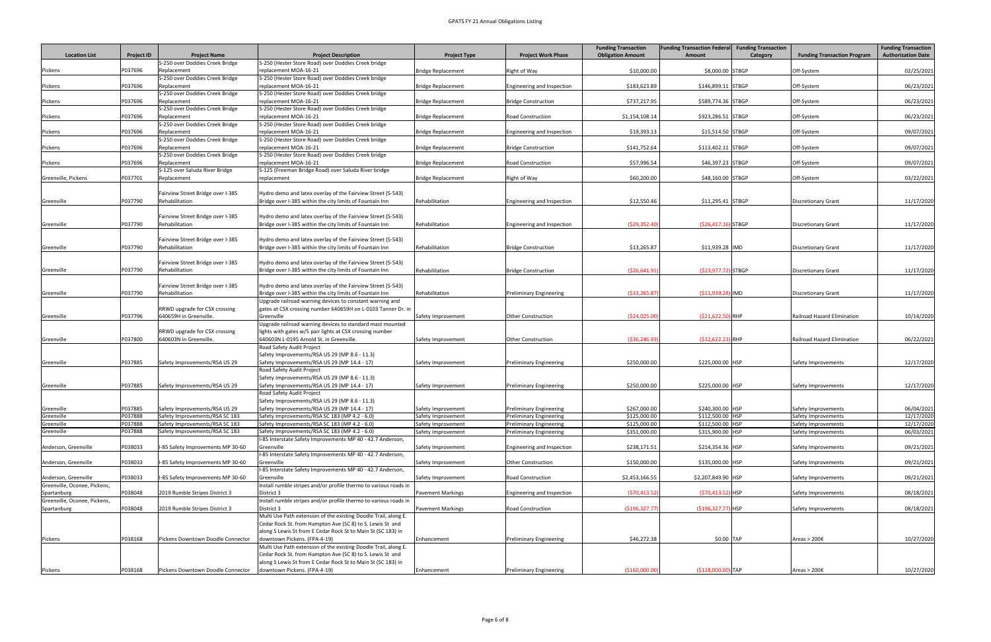| <b>Location List</b>                                 | <b>Project ID</b>  | <b>Project Name</b>                                             | <b>Project Description</b>                                                                                              | <b>Project Type</b>                      | <b>Project Work Phase</b>                                        | <b>Funding Transaction</b><br><b>Obligation Amount</b> | <b>Funding Transaction Federal</b><br>Amount | <b>Funding Transaction</b><br>Category | <b>Funding Transaction Program</b>         | <b>Funding Transaction</b><br><b>Authorization Date</b> |
|------------------------------------------------------|--------------------|-----------------------------------------------------------------|-------------------------------------------------------------------------------------------------------------------------|------------------------------------------|------------------------------------------------------------------|--------------------------------------------------------|----------------------------------------------|----------------------------------------|--------------------------------------------|---------------------------------------------------------|
|                                                      |                    | S-250 over Doddies Creek Bridge                                 | S-250 (Hester Store Road) over Doddies Creek bridge                                                                     |                                          |                                                                  |                                                        |                                              |                                        |                                            |                                                         |
| Pickens                                              | P037696            | Replacement                                                     | replacement MOA-16-21                                                                                                   | <b>Bridge Replacement</b>                | <b>Right of Way</b>                                              | \$10,000.00                                            | \$8,000.00 STBGP                             |                                        | Off-System                                 | 02/25/2021                                              |
|                                                      |                    | S-250 over Doddies Creek Bridge                                 | S-250 (Hester Store Road) over Doddies Creek bridge                                                                     |                                          |                                                                  |                                                        |                                              |                                        |                                            |                                                         |
| Pickens                                              | P037696            | Replacement                                                     | replacement MOA-16-21                                                                                                   | <b>Bridge Replacement</b>                | Engineering and Inspection                                       | \$183,623.89                                           | \$146,899.11 STBGP                           |                                        | Off-System                                 | 06/23/2021                                              |
|                                                      |                    | S-250 over Doddies Creek Bridge                                 | S-250 (Hester Store Road) over Doddies Creek bridge                                                                     |                                          |                                                                  |                                                        |                                              |                                        |                                            |                                                         |
| Pickens                                              | P037696            | Replacement                                                     | replacement MOA-16-21                                                                                                   | <b>Bridge Replacement</b>                | <b>Bridge Construction</b>                                       | \$737,217.95                                           | \$589,774.36 STBGP                           |                                        | Off-System                                 | 06/23/2021                                              |
|                                                      |                    | S-250 over Doddies Creek Bridge                                 | S-250 (Hester Store Road) over Doddies Creek bridge                                                                     |                                          |                                                                  |                                                        |                                              |                                        |                                            |                                                         |
| Pickens                                              | P037696            | Replacement<br>S-250 over Doddies Creek Bridge                  | replacement MOA-16-21<br>S-250 (Hester Store Road) over Doddies Creek bridge                                            | <b>Bridge Replacement</b>                | <b>Road Construction</b>                                         | \$1,154,108.14                                         | \$923,286.51 STBGP                           |                                        | Off-System                                 | 06/23/2021                                              |
| Pickens                                              | P037696            | Replacement                                                     | replacement MOA-16-21                                                                                                   | <b>Bridge Replacement</b>                | Engineering and Inspection                                       | \$19,393.13                                            | \$15,514.50 STBGP                            |                                        | Off-System                                 | 09/07/2021                                              |
|                                                      |                    | S-250 over Doddies Creek Bridge                                 | S-250 (Hester Store Road) over Doddies Creek bridge                                                                     |                                          |                                                                  |                                                        |                                              |                                        |                                            |                                                         |
| Pickens                                              | P037696            | Replacement                                                     | replacement MOA-16-21                                                                                                   | <b>Bridge Replacement</b>                | <b>Bridge Construction</b>                                       | \$141,752.64                                           | \$113,402.11 STBGP                           |                                        | Off-System                                 | 09/07/2021                                              |
|                                                      |                    | S-250 over Doddies Creek Bridge                                 | S-250 (Hester Store Road) over Doddies Creek bridge                                                                     |                                          |                                                                  |                                                        |                                              |                                        |                                            |                                                         |
| Pickens                                              | P037696            | Replacement                                                     | replacement MOA-16-21                                                                                                   | <b>Bridge Replacement</b>                | <b>Road Construction</b>                                         | \$57,996.54                                            | \$46,397.23 STBGP                            |                                        | Off-System                                 | 09/07/2021                                              |
|                                                      |                    | S-125 over Saluda River Bridge                                  | S-125 (Freeman Bridge Road) over Saluda River bridge                                                                    |                                          |                                                                  |                                                        |                                              |                                        |                                            |                                                         |
| Greenville, Pickens                                  | P037701            | Replacement                                                     | replacement                                                                                                             | <b>Bridge Replacement</b>                | <b>Right of Way</b>                                              | \$60,200.00                                            | \$48,160.00 STBGP                            |                                        | Off-System                                 | 03/22/2021                                              |
|                                                      |                    | Fairview Street Bridge over I-385                               | Hydro demo and latex overlay of the Fairview Street (S-543)                                                             |                                          |                                                                  |                                                        |                                              |                                        |                                            |                                                         |
| Greenville                                           | P037790            | Rehabilitation                                                  | Bridge over I-385 within the city limits of Fountain Inn                                                                | Rehabilitation                           | Engineering and Inspection                                       | \$12,550.46                                            | $$11,295.41$ STBGP                           |                                        | Discretionary Grant                        | 11/17/2020                                              |
|                                                      |                    |                                                                 |                                                                                                                         |                                          |                                                                  |                                                        |                                              |                                        |                                            |                                                         |
|                                                      |                    | Fairview Street Bridge over I-385                               | Hydro demo and latex overlay of the Fairview Street (S-543)                                                             |                                          |                                                                  |                                                        |                                              |                                        |                                            |                                                         |
| Greenville                                           | P037790            | Rehabilitation                                                  | Bridge over I-385 within the city limits of Fountain Inn                                                                | Rehabilitation                           | Engineering and Inspection                                       | (529, 352.40)                                          | $(S26, 417.16)$ STBGP                        |                                        | Discretionary Grant                        | 11/17/2020                                              |
|                                                      |                    |                                                                 |                                                                                                                         |                                          |                                                                  |                                                        |                                              |                                        |                                            |                                                         |
|                                                      |                    | Fairview Street Bridge over I-385                               | Hydro demo and latex overlay of the Fairview Street (S-543)                                                             |                                          |                                                                  |                                                        |                                              |                                        |                                            |                                                         |
| Greenville                                           | P037790            | Rehabilitation                                                  | Bridge over I-385 within the city limits of Fountain Inn                                                                | Rehabilitation                           | <b>Bridge Construction</b>                                       | \$13,265.87                                            | \$11,939.28 IMD                              |                                        | Discretionary Grant                        | 11/17/2020                                              |
|                                                      |                    |                                                                 |                                                                                                                         |                                          |                                                                  |                                                        |                                              |                                        |                                            |                                                         |
| Greenville                                           | P037790            | Fairview Street Bridge over I-385<br>Rehabilitation             | Hydro demo and latex overlay of the Fairview Street (S-543)<br>Bridge over I-385 within the city limits of Fountain Inn | Rehabilitation                           | <b>Bridge Construction</b>                                       | ( \$26,641.91                                          | $(S23, 977.72)$ STBGP                        |                                        | Discretionary Grant                        | 11/17/2020                                              |
|                                                      |                    |                                                                 |                                                                                                                         |                                          |                                                                  |                                                        |                                              |                                        |                                            |                                                         |
|                                                      |                    | Fairview Street Bridge over I-385                               | Hydro demo and latex overlay of the Fairview Street (S-543)                                                             |                                          |                                                                  |                                                        |                                              |                                        |                                            |                                                         |
| Greenville                                           | P037790            | Rehabilitation                                                  | Bridge over I-385 within the city limits of Fountain Inn                                                                | Rehabilitation                           | <b>Preliminary Engineering</b>                                   | ( \$13, 265.87                                         | $( $11,939.28)$ IMD                          |                                        | Discretionary Grant                        | 11/17/2020                                              |
|                                                      |                    |                                                                 | Upgrade railroad warning devices to constant warning and                                                                |                                          |                                                                  |                                                        |                                              |                                        |                                            |                                                         |
|                                                      |                    | RRWD upgrade for CSX crossing                                   | gates at CSX crossing number 640659H on L-0103 Tanner Dr. in                                                            |                                          |                                                                  |                                                        |                                              |                                        |                                            |                                                         |
| Greenville                                           | P037796            | 640659H in Greenville.                                          | Greenville                                                                                                              | Safety Improvement                       | <b>Other Construction</b>                                        | (524, 025.00)                                          | $(S21, 622.50)$ RHP                          |                                        | Railroad Hazard Elimination                | 10/14/2020                                              |
|                                                      |                    |                                                                 | Upgrade railroad warning devices to standard mast mounted                                                               |                                          |                                                                  |                                                        |                                              |                                        |                                            |                                                         |
| Greenville                                           | P037800            | RRWD upgrade for CSX crossing<br>640603N in Greenville.         | lights with gates w/5 pair lights at CSX crossing number<br>640603N L-0195 Arnold St. in Greenville.                    |                                          | <b>Other Construction</b>                                        | ( \$36, 246.93]                                        | $(S32, 622.23)$ RHP                          |                                        | Railroad Hazard Elimination                | 06/22/2021                                              |
|                                                      |                    |                                                                 | Road Safety Audit Project                                                                                               | Safety Improvement                       |                                                                  |                                                        |                                              |                                        |                                            |                                                         |
|                                                      |                    |                                                                 | Safety Improvements/RSA US 29 (MP 8.6 - 11.3)                                                                           |                                          |                                                                  |                                                        |                                              |                                        |                                            |                                                         |
| Greenville                                           | P037885            | Safety Improvements/RSA US 29                                   | Safety Improvements/RSA US 29 (MP 14.4 - 17)                                                                            | Safety Improvement                       | <b>Preliminary Engineering</b>                                   | \$250,000.00                                           | \$225,000.00 HSP                             |                                        | Safety Improvements                        | 12/17/2020                                              |
|                                                      |                    |                                                                 | Road Safety Audit Project                                                                                               |                                          |                                                                  |                                                        |                                              |                                        |                                            |                                                         |
|                                                      |                    |                                                                 | Safety Improvements/RSA US 29 (MP 8.6 - 11.3)                                                                           |                                          |                                                                  |                                                        |                                              |                                        |                                            |                                                         |
| Greenville                                           | P037885            | Safety Improvements/RSA US 29                                   | Safety Improvements/RSA US 29 (MP 14.4 - 17)                                                                            | Safety Improvement                       | <b>Preliminary Engineering</b>                                   | \$250,000.00                                           | \$225,000.00 HSP                             |                                        | Safety Improvements                        | 12/17/2020                                              |
|                                                      |                    |                                                                 | Road Safety Audit Project                                                                                               |                                          |                                                                  |                                                        |                                              |                                        |                                            |                                                         |
|                                                      |                    |                                                                 | Safety Improvements/RSA US 29 (MP 8.6 - 11.3)                                                                           |                                          |                                                                  |                                                        |                                              |                                        |                                            |                                                         |
| Greenville<br>Greenville                             | P037885<br>P037888 | Safety Improvements/RSA US 29<br>Safety Improvements/RSA SC 183 | Safety Improvements/RSA US 29 (MP 14.4 - 17)<br>Safety Improvements/RSA SC 183 (MP 4.2 - 6.0)                           | Safety Improvement<br>Safety Improvement | <b>Preliminary Engineering</b><br><b>Preliminary Engineering</b> | \$267,000.00<br>\$125,000.00                           | \$240,300.00 HSP<br>\$112,500.00 HSP         |                                        | Safety Improvements<br>Safety Improvements | 06/04/2021<br>12/17/2020                                |
| Greenville                                           | P037888            | Safety Improvements/RSA SC 183                                  | Safety Improvements/RSA SC 183 (MP 4.2 - 6.0)                                                                           | Safety Improvement                       | <b>Preliminary Engineering</b>                                   | \$125,000.00                                           | \$112,500.00 HSP                             |                                        | Safety Improvements                        | 12/17/2020                                              |
| Greenville                                           | P037888            | Safety Improvements/RSA SC 183                                  | Safety Improvements/RSA SC 183 (MP 4.2 - 6.0)                                                                           | Safety Improvement                       | <b>Preliminary Engineering</b>                                   | \$351,000.00                                           | \$315,900.00 HSP                             |                                        | Safety Improvements                        | 06/03/2021                                              |
|                                                      |                    |                                                                 | I-85 Interstate Safety Improvements MP 40 - 42.7 Anderson,                                                              |                                          |                                                                  |                                                        |                                              |                                        |                                            |                                                         |
| Anderson, Greenville                                 | P038033            | I-85 Safety Improvements MP 30-60                               | Greenville                                                                                                              | Safety Improvement                       | Engineering and Inspection                                       | \$238,171.51                                           | \$214,354.36 HSP                             |                                        | Safety Improvements                        | 09/21/2021                                              |
|                                                      |                    |                                                                 | -85 Interstate Safety Improvements MP 40 - 42.7 Anderson,                                                               |                                          |                                                                  |                                                        |                                              |                                        |                                            |                                                         |
| Anderson, Greenville                                 | P038033            | I-85 Safety Improvements MP 30-60                               | Greenville                                                                                                              | Safety Improvement                       | <b>Other Construction</b>                                        | \$150,000.00                                           | \$135,000.00 HSP                             |                                        | Safety Improvements                        | 09/21/2021                                              |
|                                                      |                    |                                                                 | I-85 Interstate Safety Improvements MP 40 - 42.7 Anderson,                                                              |                                          |                                                                  |                                                        |                                              |                                        |                                            |                                                         |
| Anderson, Greenville<br>Greenville, Oconee, Pickens, | P038033            | I-85 Safety Improvements MP 30-60                               | Greenville<br>nstall rumble stripes and/or profile thermo to various roads in                                           | Safety Improvement                       | <b>Road Construction</b>                                         | \$2,453,166.55                                         | \$2,207,849.90 HSP                           |                                        | Safety Improvements                        | 09/21/2021                                              |
| Spartanburg                                          | P038048            | 2019 Rumble Stripes District 3                                  | District 3                                                                                                              | <b>Pavement Markings</b>                 | Engineering and Inspection                                       | (570, 413.52)                                          | (\$70,413.52) HSP                            |                                        | Safety Improvements                        | 08/18/2021                                              |
| Greenville, Oconee, Pickens,                         |                    |                                                                 | Install rumble stripes and/or profile thermo to various roads in                                                        |                                          |                                                                  |                                                        |                                              |                                        |                                            |                                                         |
| Spartanburg                                          | P038048            | 2019 Rumble Stripes District 3                                  | District 3                                                                                                              | <b>Pavement Markings</b>                 | <b>Road Construction</b>                                         | ( \$196, 327.7]                                        | (\$196,327.77) HSP                           |                                        | Safety Improvements                        | 08/18/2021                                              |
|                                                      |                    |                                                                 | Multi Use Path extension of the existing Doodle Trail, along E.                                                         |                                          |                                                                  |                                                        |                                              |                                        |                                            |                                                         |
|                                                      |                    |                                                                 | Cedar Rock St. from Hampton Ave (SC 8) to S. Lewis St and                                                               |                                          |                                                                  |                                                        |                                              |                                        |                                            |                                                         |
|                                                      |                    |                                                                 | along S Lewis St from E Cedar Rock St to Main St (SC 183) in                                                            |                                          |                                                                  |                                                        |                                              |                                        |                                            |                                                         |
| Pickens                                              | P038168            | Pickens Downtown Doodle Connector                               | downtown Pickens. (FPA-4-19)                                                                                            | Enhancement                              | <b>Preliminary Engineering</b>                                   | \$46,272.38                                            | \$0.00 TAP                                   |                                        | Areas > 200K                               | 10/27/2020                                              |
|                                                      |                    |                                                                 | Multi Use Path extension of the existing Doodle Trail, along E.                                                         |                                          |                                                                  |                                                        |                                              |                                        |                                            |                                                         |
|                                                      |                    |                                                                 | Cedar Rock St. from Hampton Ave (SC 8) to S. Lewis St and                                                               |                                          |                                                                  |                                                        |                                              |                                        |                                            |                                                         |
| Pickens                                              | P038168            | Pickens Downtown Doodle Connector                               | along S Lewis St from E Cedar Rock St to Main St (SC 183) in<br>downtown Pickens. (FPA-4-19)                            | Enhancement                              | <b>Preliminary Engineering</b>                                   | ( \$160,000.00]                                        | (\$128,000.00) TAP                           |                                        | Areas > 200K                               | 10/27/2020                                              |
|                                                      |                    |                                                                 |                                                                                                                         |                                          |                                                                  |                                                        |                                              |                                        |                                            |                                                         |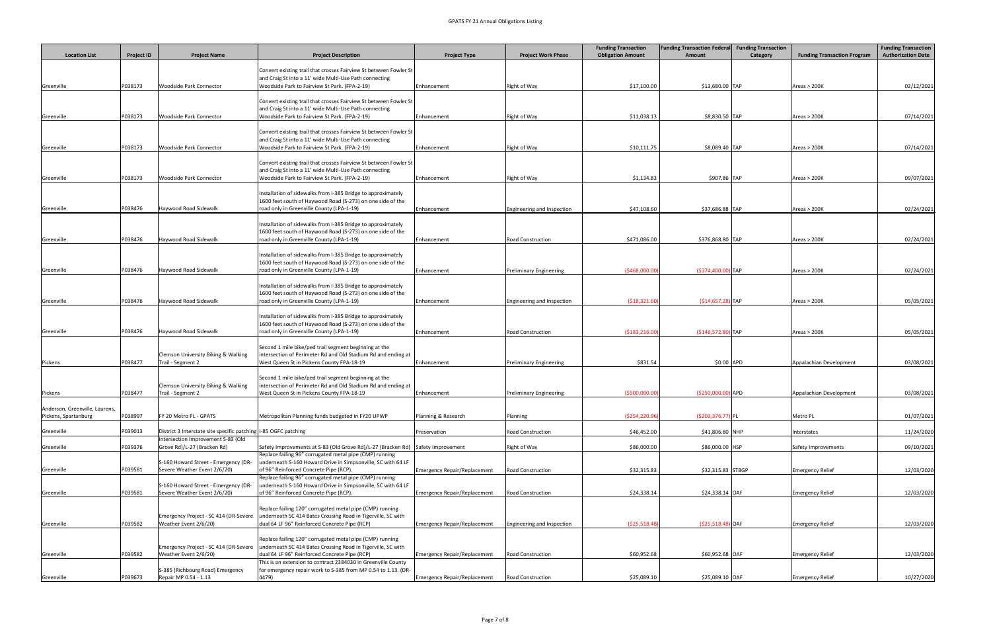|                                                        |                   |                                                                      |                                                                                                                                                                              |                                     |                                | <b>Funding Transaction</b> | <b>Funding Transaction Federal Funding Transaction</b> |          |                                    | <b>Funding Transaction</b> |
|--------------------------------------------------------|-------------------|----------------------------------------------------------------------|------------------------------------------------------------------------------------------------------------------------------------------------------------------------------|-------------------------------------|--------------------------------|----------------------------|--------------------------------------------------------|----------|------------------------------------|----------------------------|
| <b>Location List</b>                                   | <b>Project ID</b> | <b>Project Name</b>                                                  | <b>Project Description</b>                                                                                                                                                   | <b>Project Type</b>                 | <b>Project Work Phase</b>      | <b>Obligation Amount</b>   | Amount                                                 | Category | <b>Funding Transaction Program</b> | <b>Authorization Date</b>  |
| Greenville                                             | P038173           | <b>Woodside Park Connector</b>                                       | Convert existing trail that crosses Fairview St between Fowler St<br>and Craig St into a 11' wide Multi-Use Path connecting<br>Woodside Park to Fairview St Park. (FPA-2-19) | Enhancement                         | Right of Way                   | \$17,100.00                | \$13,680.00 TAP                                        |          | Areas > 200K                       | 02/12/2021                 |
| Greenville                                             | P038173           | <b>Woodside Park Connector</b>                                       | Convert existing trail that crosses Fairview St between Fowler St<br>and Craig St into a 11' wide Multi-Use Path connecting<br>Woodside Park to Fairview St Park. (FPA-2-19) | Enhancement                         | Right of Way                   | \$11,038.13                | \$8,830.50 TAP                                         |          | Areas > 200K                       | 07/14/2021                 |
|                                                        |                   |                                                                      | Convert existing trail that crosses Fairview St between Fowler St<br>and Craig St into a 11' wide Multi-Use Path connecting                                                  |                                     |                                |                            |                                                        |          |                                    |                            |
| Greenville                                             | P038173           | <b>Woodside Park Connector</b>                                       | Woodside Park to Fairview St Park. (FPA-2-19)                                                                                                                                | Enhancement                         | Right of Way                   | \$10,111.75                | \$8,089.40 TAP                                         |          | Areas > 200K                       | 07/14/2021                 |
| Greenville                                             | P038173           | <b>Woodside Park Connector</b>                                       | Convert existing trail that crosses Fairview St between Fowler St<br>and Craig St into a 11' wide Multi-Use Path connecting<br>Woodside Park to Fairview St Park. (FPA-2-19) | Enhancement                         | Right of Way                   | \$1,134.83                 | \$907.86 TAP                                           |          | Area <sub>5</sub> > 200K           | 09/07/2021                 |
| Greenville                                             | P038476           | Haywood Road Sidewalk                                                | Installation of sidewalks from I-385 Bridge to approximately<br>1600 feet south of Haywood Road (S-273) on one side of the<br>road only in Greenville County (LPA-1-19)      | Enhancement                         | Engineering and Inspection     | \$47,108.60                | \$37,686.88 TAP                                        |          | Area <sub>5</sub> > 200K           | 02/24/2021                 |
| Greenville                                             | P038476           | Haywood Road Sidewalk                                                | Installation of sidewalks from I-385 Bridge to approximately<br>1600 feet south of Haywood Road (S-273) on one side of the<br>road only in Greenville County (LPA-1-19)      | Enhancement                         | Road Construction              | \$471,086.00               | \$376,868.80 TAP                                       |          | Areas > 200K                       | 02/24/2021                 |
| Greenville                                             | P038476           | Haywood Road Sidewalk                                                | Installation of sidewalks from I-385 Bridge to approximately<br>1600 feet south of Haywood Road (S-273) on one side of the<br>road only in Greenville County (LPA-1-19)      | Enhancement                         | <b>Preliminary Engineering</b> | (5468,000.00)              | (\$374,400.00) TAP                                     |          | Areas > 200K                       | 02/24/2021                 |
| Greenville                                             | P038476           | Haywood Road Sidewalk                                                | Installation of sidewalks from I-385 Bridge to approximately<br>1600 feet south of Haywood Road (S-273) on one side of the<br>road only in Greenville County (LPA-1-19)      | Enhancement                         | Engineering and Inspection     | ( \$18, 321.60             | $( $14,657.28)$ TAP                                    |          | Area <sub>5</sub> > 200K           | 05/05/2021                 |
| Greenville                                             | P038476           | Haywood Road Sidewalk                                                | Installation of sidewalks from I-385 Bridge to approximately<br>1600 feet south of Haywood Road (S-273) on one side of the<br>road only in Greenville County (LPA-1-19)      | Enhancement                         | <b>Road Construction</b>       | ( \$183, 216.00            | $($146,572.80)$ TAP                                    |          | Areas > 200K                       | 05/05/2021                 |
|                                                        |                   | <b>Clemson University Biking &amp; Walking</b>                       | Second 1 mile bike/ped trail segment beginning at the<br>intersection of Perimeter Rd and Old Stadium Rd and ending at                                                       |                                     |                                |                            |                                                        |          |                                    |                            |
| Pickens                                                | P038477           | Trail - Segment 2<br><b>Clemson University Biking &amp; Walking</b>  | West Queen St in Pickens County FPA-18-19<br>Second 1 mile bike/ped trail segment beginning at the<br>intersection of Perimeter Rd and Old Stadium Rd and ending at          | Enhancement                         | <b>Preliminary Engineering</b> | \$831.54                   | $$0.00$ APD                                            |          | Appalachian Development            | 03/08/2021                 |
| Pickens                                                | P038477           | Trail - Segment 2                                                    | West Queen St in Pickens County FPA-18-19                                                                                                                                    | Enhancement                         | <b>Preliminary Engineering</b> | ( \$500,000.00]            | $(S250,000.00)$ APD                                    |          | Appalachian Development            | 03/08/2021                 |
| Anderson, Greenville, Laurens,<br>Pickens, Spartanburg | P038997           | FY 20 Metro PL - GPATS                                               | Metropolitan Planning funds budgeted in FY20 UPWP                                                                                                                            | Planning & Research                 | Planning                       | (5254, 220.96)             | $( $203, 376.77)$ PL                                   |          | Metro PL                           | 01/07/2021                 |
| Greenville                                             | P039013           | District 3 Interstate site specific patching   1-85 OGFC patching    |                                                                                                                                                                              | Preservation                        | <b>Road Construction</b>       | \$46,452.00                | \$41,806.80 NHP                                        |          | Interstates                        | 11/24/2020                 |
| Greenville                                             | P039376           | Intersection Improvement S-83 (Old<br>Grove Rd)/L-27 (Bracken Rd)    | Safety Improvements at S-83 (Old Grove Rd)/L-27 (Bracken Rd) Safety Improvement                                                                                              |                                     | Right of Way                   | \$86,000.00                | \$86,000.00 HSP                                        |          | Safety Improvements                | 09/10/2021                 |
| Greenville                                             | P039581           | S-160 Howard Street - Emergency (DR-<br>Severe Weather Event 2/6/20) | Replace failing 96" corrugated metal pipe (CMP) running<br>underneath S-160 Howard Drive in Simpsonville, SC with 64 LF<br>of 96" Reinforced Concrete Pipe (RCP).            | <b>Emergency Repair/Replacement</b> | <b>Road Construction</b>       | \$32,315.83                | \$32,315.83 STBGP                                      |          | <b>Emergency Relief</b>            | 12/03/2020                 |
| Greenville                                             | P039581           | S-160 Howard Street - Emergency (DR-<br>Severe Weather Event 2/6/20) | Replace failing 96" corrugated metal pipe (CMP) running<br>underneath S-160 Howard Drive in Simpsonville, SC with 64 LF<br>of 96" Reinforced Concrete Pipe (RCP).            | <b>Emergency Repair/Replacement</b> | <b>Road Construction</b>       | \$24,338.14                | \$24,338.14 OAF                                        |          | <b>Emergency Relief</b>            | 12/03/2020                 |
| Greenville                                             | P039582           | Emergency Project - SC 414 (DR-Severe<br>Weather Event 2/6/20)       | Replace failing 120" corrugated metal pipe (CMP) running<br>underneath SC 414 Bates Crossing Road in Tigerville, SC with<br>dual 64 LF 96" Reinforced Concrete Pipe (RCP)    | <b>Emergency Repair/Replacement</b> | Engineering and Inspection     | ( \$25,518.48)             | $( $25,518.48)$ OAF                                    |          | <b>Emergency Relief</b>            | 12/03/2020                 |
| Greenville                                             | P039582           | Emergency Project - SC 414 (DR-Severe<br>Weather Event 2/6/20)       | Replace failing 120" corrugated metal pipe (CMP) running<br>underneath SC 414 Bates Crossing Road in Tigerville, SC with<br>dual 64 LF 96" Reinforced Concrete Pipe (RCP)    | <b>Emergency Repair/Replacement</b> | <b>Road Construction</b>       | \$60,952.68                | \$60,952.68 OAF                                        |          | <b>Emergency Relief</b>            | 12/03/2020                 |
|                                                        |                   |                                                                      | This is an extension to contract 2384030 in Greenville County                                                                                                                |                                     |                                |                            |                                                        |          |                                    |                            |
| Greenville                                             | P039673           | S-385 (Richbourg Road) Emergency<br>Repair MP 0.54 - 1.13            | for emergency repair work to S-385 from MP 0.54 to 1.13. (DR-<br>4479)                                                                                                       | <b>Emergency Repair/Replacement</b> | Road Construction              | \$25,089.10                | \$25,089.10 OAF                                        |          | <b>Emergency Relief</b>            | 10/27/2020                 |